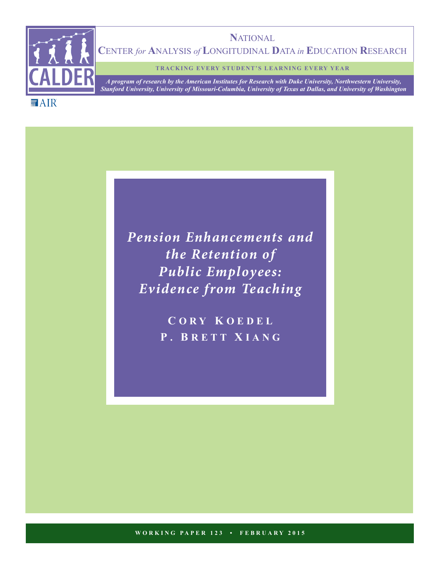

**N**ATIONAL **C**ENTER *for* **A**NALYSIS *of* **L**ONGITUDINAL **D**ATA *in* **E**DUCATION **R**ESEARCH

**TRACKING EVERY STUDENT'S LEARNING EVERY YEAR**

*A program of research by the American Institutes for Research with Duke University, Northwestern University, Stanford University, University of Missouri-Columbia, University of Texas at Dallas, and University of Washington*

**MAIR** 

*Pension Enhancements and the Retention of Public Employees: Evidence from Teaching*

> **C ORY K OEDEL P . B RETT X IANG**

**WORKING PAPER 123 • FEBRUARY 2015**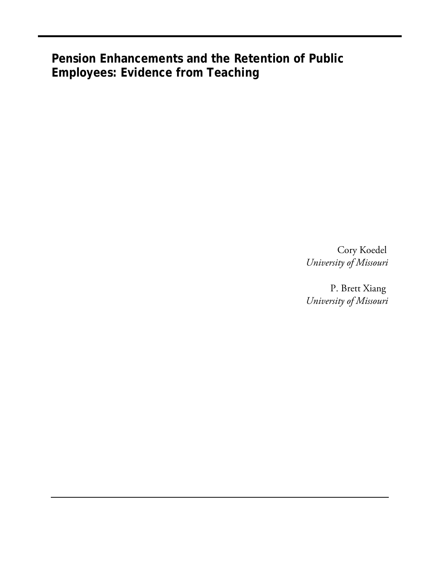**Pension Enhancements and the Retention of Public Employees: Evidence from Teaching**

> Cory Koedel *University of Missouri*

> P. Brett Xiang *University of Missouri*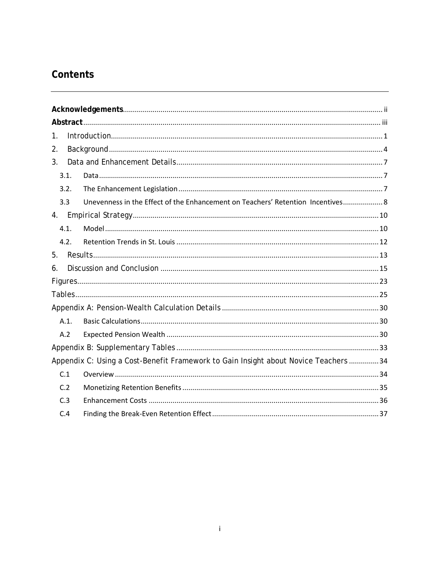# Contents

| 1.             |         |                                                                                      |  |  |  |  |  |  |  |
|----------------|---------|--------------------------------------------------------------------------------------|--|--|--|--|--|--|--|
| 2.             |         |                                                                                      |  |  |  |  |  |  |  |
| 3 <sub>1</sub> |         |                                                                                      |  |  |  |  |  |  |  |
|                | 3.1.    |                                                                                      |  |  |  |  |  |  |  |
|                | 3.2.    |                                                                                      |  |  |  |  |  |  |  |
|                | 3.3     | Unevenness in the Effect of the Enhancement on Teachers' Retention Incentives 8      |  |  |  |  |  |  |  |
|                |         |                                                                                      |  |  |  |  |  |  |  |
|                | 4.1.    |                                                                                      |  |  |  |  |  |  |  |
|                | 4.2.    |                                                                                      |  |  |  |  |  |  |  |
| 5.             |         |                                                                                      |  |  |  |  |  |  |  |
| 6.             |         |                                                                                      |  |  |  |  |  |  |  |
|                |         |                                                                                      |  |  |  |  |  |  |  |
|                |         |                                                                                      |  |  |  |  |  |  |  |
|                |         |                                                                                      |  |  |  |  |  |  |  |
|                | $A.1$ . |                                                                                      |  |  |  |  |  |  |  |
|                | A.2     |                                                                                      |  |  |  |  |  |  |  |
|                |         |                                                                                      |  |  |  |  |  |  |  |
|                |         | Appendix C: Using a Cost-Benefit Framework to Gain Insight about Novice Teachers  34 |  |  |  |  |  |  |  |
|                | C.1     |                                                                                      |  |  |  |  |  |  |  |
|                | C.2     |                                                                                      |  |  |  |  |  |  |  |
|                | C.3     |                                                                                      |  |  |  |  |  |  |  |
|                | C.4     |                                                                                      |  |  |  |  |  |  |  |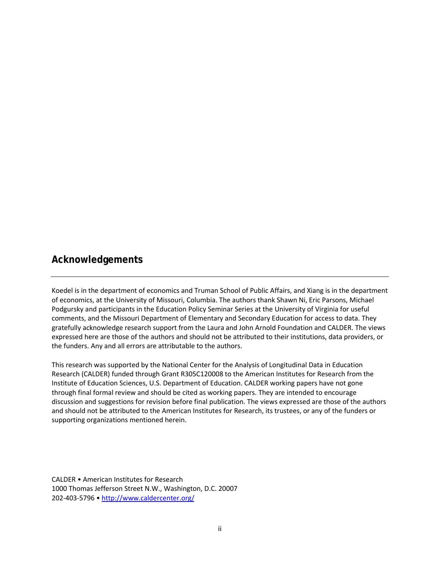# <span id="page-3-0"></span>**Acknowledgements**

Koedel is in the department of economics and Truman School of Public Affairs, and Xiang is in the department of economics, at the University of Missouri, Columbia. The authors thank Shawn Ni, Eric Parsons, Michael Podgursky and participants in the Education Policy Seminar Series at the University of Virginia for useful comments, and the Missouri Department of Elementary and Secondary Education for access to data. They gratefully acknowledge research support from the Laura and John Arnold Foundation and CALDER. The views expressed here are those of the authors and should not be attributed to their institutions, data providers, or the funders. Any and all errors are attributable to the authors.

This research was supported by the National Center for the Analysis of Longitudinal Data in Education Research (CALDER) funded through Grant R305C120008 to the American Institutes for Research from the Institute of Education Sciences, U.S. Department of Education. CALDER working papers have not gone through final formal review and should be cited as working papers. They are intended to encourage discussion and suggestions for revision before final publication. The views expressed are those of the authors and should not be attributed to the American Institutes for Research, its trustees, or any of the funders or supporting organizations mentioned herein.

CALDER • American Institutes for Research 1000 Thomas Jefferson Street N.W., Washington, D.C. 20007 202-403-5796 • <http://www.caldercenter.org/>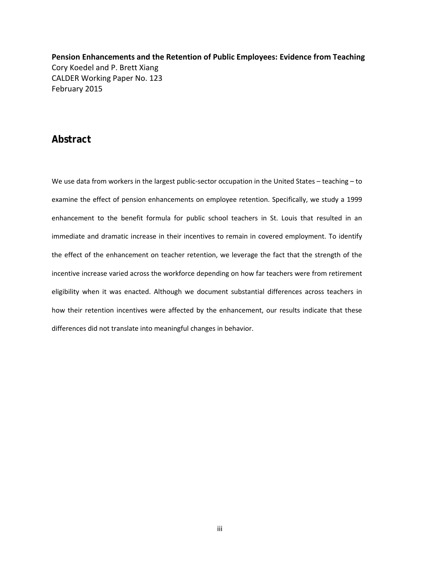**Pension Enhancements and the Retention of Public Employees: Evidence from Teaching** Cory Koedel and P. Brett Xiang CALDER Working Paper No. 123 February 2015

### <span id="page-4-0"></span>**Abstract**

We use data from workers in the largest public-sector occupation in the United States – teaching – to examine the effect of pension enhancements on employee retention. Specifically, we study a 1999 enhancement to the benefit formula for public school teachers in St. Louis that resulted in an immediate and dramatic increase in their incentives to remain in covered employment. To identify the effect of the enhancement on teacher retention, we leverage the fact that the strength of the incentive increase varied across the workforce depending on how far teachers were from retirement eligibility when it was enacted. Although we document substantial differences across teachers in how their retention incentives were affected by the enhancement, our results indicate that these differences did not translate into meaningful changes in behavior.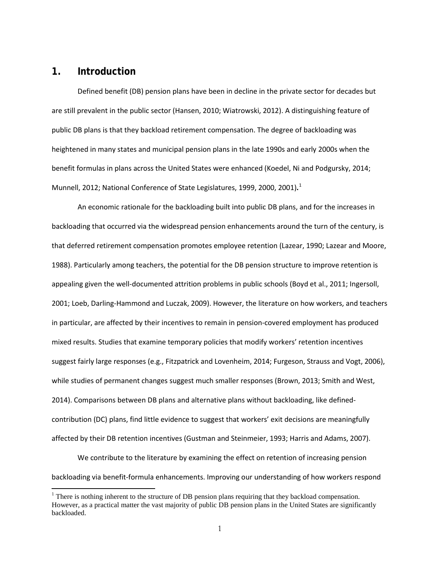### <span id="page-5-0"></span>**1. Introduction**

 $\overline{\phantom{a}}$ 

Defined benefit (DB) pension plans have been in decline in the private sector for decades but are still prevalent in the public sector (Hansen, 2010; Wiatrowski, 2012). A distinguishing feature of public DB plans is that they backload retirement compensation. The degree of backloading was heightened in many states and municipal pension plans in the late 1990s and early 2000s when the benefit formulas in plans across the United States were enhanced (Koedel, Ni and Podgursky, 2014; Munnell, 2012; National Conference of State Legislatures, 1999, 2000, 2001)**.** [1](#page-5-1)

An economic rationale for the backloading built into public DB plans, and for the increases in backloading that occurred via the widespread pension enhancements around the turn of the century, is that deferred retirement compensation promotes employee retention (Lazear, 1990; Lazear and Moore, 1988). Particularly among teachers, the potential for the DB pension structure to improve retention is appealing given the well-documented attrition problems in public schools (Boyd et al., 2011; Ingersoll, 2001; Loeb, Darling-Hammond and Luczak, 2009). However, the literature on how workers, and teachers in particular, are affected by their incentives to remain in pension-covered employment has produced mixed results. Studies that examine temporary policies that modify workers' retention incentives suggest fairly large responses (e.g., Fitzpatrick and Lovenheim, 2014; Furgeson, Strauss and Vogt, 2006), while studies of permanent changes suggest much smaller responses (Brown, 2013; Smith and West, 2014). Comparisons between DB plans and alternative plans without backloading, like definedcontribution (DC) plans, find little evidence to suggest that workers' exit decisions are meaningfully affected by their DB retention incentives (Gustman and Steinmeier, 1993; Harris and Adams, 2007).

We contribute to the literature by examining the effect on retention of increasing pension backloading via benefit-formula enhancements. Improving our understanding of how workers respond

<span id="page-5-1"></span><sup>&</sup>lt;sup>1</sup> There is nothing inherent to the structure of DB pension plans requiring that they backload compensation. However, as a practical matter the vast majority of public DB pension plans in the United States are significantly backloaded.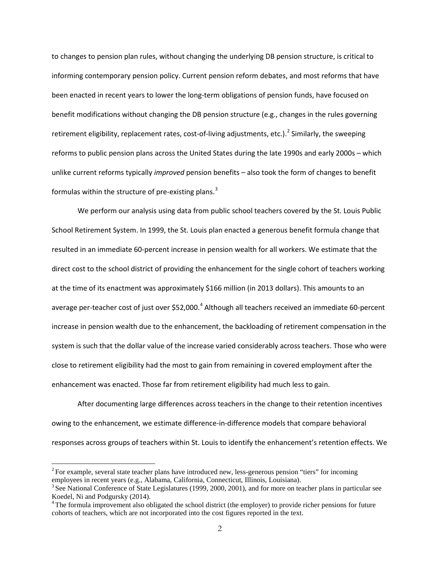to changes to pension plan rules, without changing the underlying DB pension structure, is critical to informing contemporary pension policy. Current pension reform debates, and most reforms that have been enacted in recent years to lower the long-term obligations of pension funds, have focused on benefit modifications without changing the DB pension structure (e.g., changes in the rules governing retirement eligibility, replacement rates, cost-of-living adjustments, etc.).<sup>[2](#page-6-0)</sup> Similarly, the sweeping reforms to public pension plans across the United States during the late 1990s and early 2000s – which unlike current reforms typically *improved* pension benefits – also took the form of changes to benefit formulas within the structure of pre-existing plans. $3$ 

We perform our analysis using data from public school teachers covered by the St. Louis Public School Retirement System. In 1999, the St. Louis plan enacted a generous benefit formula change that resulted in an immediate 60-percent increase in pension wealth for all workers. We estimate that the direct cost to the school district of providing the enhancement for the single cohort of teachers working at the time of its enactment was approximately \$166 million (in 2013 dollars). This amounts to an average per-teacher cost of just over \$52,000.<sup>[4](#page-6-2)</sup> Although all teachers received an immediate 60-percent increase in pension wealth due to the enhancement, the backloading of retirement compensation in the system is such that the dollar value of the increase varied considerably across teachers. Those who were close to retirement eligibility had the most to gain from remaining in covered employment after the enhancement was enacted. Those far from retirement eligibility had much less to gain.

After documenting large differences across teachers in the change to their retention incentives owing to the enhancement, we estimate difference-in-difference models that compare behavioral responses across groups of teachers within St. Louis to identify the enhancement's retention effects. We

 $\overline{\phantom{a}}$ 

<span id="page-6-0"></span><sup>&</sup>lt;sup>2</sup> For example, several state teacher plans have introduced new, less-generous pension "tiers" for incoming employees in recent years (e.g., Alabama, California, Connecticut, Illinois, Louisiana).

<span id="page-6-1"></span><sup>&</sup>lt;sup>3</sup> See National Conference of State Legislatures (1999, 2000, 2001), and for more on teacher plans in particular see Koedel, Ni and Podgursky (2014).

<span id="page-6-2"></span> $4$ The formula improvement also obligated the school district (the employer) to provide richer pensions for future cohorts of teachers, which are not incorporated into the cost figures reported in the text.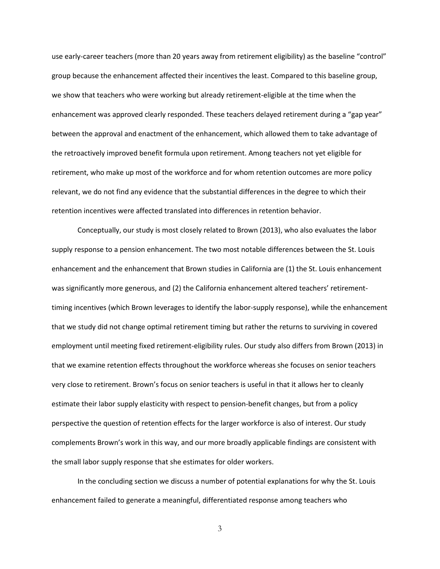use early-career teachers (more than 20 years away from retirement eligibility) as the baseline "control" group because the enhancement affected their incentives the least. Compared to this baseline group, we show that teachers who were working but already retirement-eligible at the time when the enhancement was approved clearly responded. These teachers delayed retirement during a "gap year" between the approval and enactment of the enhancement, which allowed them to take advantage of the retroactively improved benefit formula upon retirement. Among teachers not yet eligible for retirement, who make up most of the workforce and for whom retention outcomes are more policy relevant, we do not find any evidence that the substantial differences in the degree to which their retention incentives were affected translated into differences in retention behavior.

Conceptually, our study is most closely related to Brown (2013), who also evaluates the labor supply response to a pension enhancement. The two most notable differences between the St. Louis enhancement and the enhancement that Brown studies in California are (1) the St. Louis enhancement was significantly more generous, and (2) the California enhancement altered teachers' retirementtiming incentives (which Brown leverages to identify the labor-supply response), while the enhancement that we study did not change optimal retirement timing but rather the returns to surviving in covered employment until meeting fixed retirement-eligibility rules. Our study also differs from Brown (2013) in that we examine retention effects throughout the workforce whereas she focuses on senior teachers very close to retirement. Brown's focus on senior teachers is useful in that it allows her to cleanly estimate their labor supply elasticity with respect to pension-benefit changes, but from a policy perspective the question of retention effects for the larger workforce is also of interest. Our study complements Brown's work in this way, and our more broadly applicable findings are consistent with the small labor supply response that she estimates for older workers.

In the concluding section we discuss a number of potential explanations for why the St. Louis enhancement failed to generate a meaningful, differentiated response among teachers who

3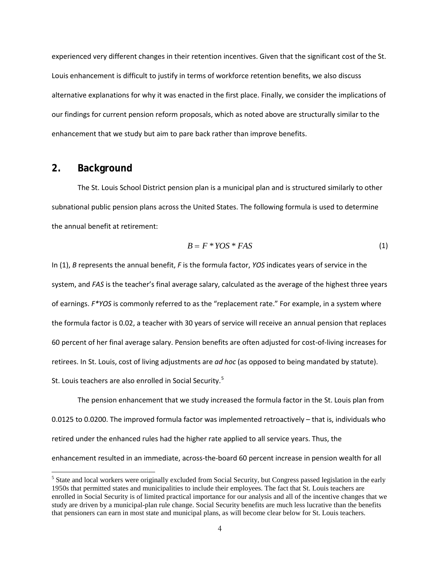experienced very different changes in their retention incentives. Given that the significant cost of the St. Louis enhancement is difficult to justify in terms of workforce retention benefits, we also discuss alternative explanations for why it was enacted in the first place. Finally, we consider the implications of our findings for current pension reform proposals, which as noted above are structurally similar to the enhancement that we study but aim to pare back rather than improve benefits.

### <span id="page-8-0"></span>**2. Background**

 $\overline{\phantom{a}}$ 

The St. Louis School District pension plan is a municipal plan and is structured similarly to other subnational public pension plans across the United States. The following formula is used to determine the annual benefit at retirement:

$$
B = F * YOS * FAS \tag{1}
$$

In (1), *B* represents the annual benefit, *F* is the formula factor, *YOS* indicates years of service in the system, and *FAS* is the teacher's final average salary, calculated as the average of the highest three years of earnings. *F\*YOS* is commonly referred to as the "replacement rate." For example, in a system where the formula factor is 0.02, a teacher with 30 years of service will receive an annual pension that replaces 60 percent of her final average salary. Pension benefits are often adjusted for cost-of-living increases for retirees. In St. Louis, cost of living adjustments are *ad hoc* (as opposed to being mandated by statute). St. Louis teachers are also enrolled in Social Security.<sup>[5](#page-8-1)</sup>

The pension enhancement that we study increased the formula factor in the St. Louis plan from 0.0125 to 0.0200. The improved formula factor was implemented retroactively – that is, individuals who retired under the enhanced rules had the higher rate applied to all service years. Thus, the enhancement resulted in an immediate, across-the-board 60 percent increase in pension wealth for all

<span id="page-8-1"></span><sup>&</sup>lt;sup>5</sup> State and local workers were originally excluded from Social Security, but Congress passed legislation in the early 1950s that permitted states and municipalities to include their employees. The fact that St. Louis teachers are enrolled in Social Security is of limited practical importance for our analysis and all of the incentive changes that we study are driven by a municipal-plan rule change. Social Security benefits are much less lucrative than the benefits that pensioners can earn in most state and municipal plans, as will become clear below for St. Louis teachers.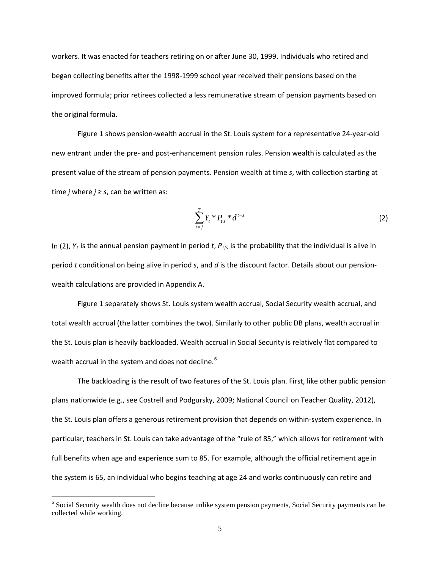workers. It was enacted for teachers retiring on or after June 30, 1999. Individuals who retired and began collecting benefits after the 1998-1999 school year received their pensions based on the improved formula; prior retirees collected a less remunerative stream of pension payments based on the original formula.

Figure 1 shows pension-wealth accrual in the St. Louis system for a representative 24-year-old new entrant under the pre- and post-enhancement pension rules. Pension wealth is calculated as the present value of the stream of pension payments. Pension wealth at time *s*, with collection starting at time *j* where  $j \geq s$ , can be written as:

$$
\sum_{t=j}^{T} Y_{t} * P_{t|s} * d^{t-s}
$$
 (2)

In (2),  $Y_t$  is the annual pension payment in period *t*,  $P_{t/s}$  is the probability that the individual is alive in period *t* conditional on being alive in period *s*, and *d* is the discount factor. Details about our pensionwealth calculations are provided in Appendix A.

Figure 1 separately shows St. Louis system wealth accrual, Social Security wealth accrual, and total wealth accrual (the latter combines the two). Similarly to other public DB plans, wealth accrual in the St. Louis plan is heavily backloaded. Wealth accrual in Social Security is relatively flat compared to wealth accrual in the system and does not decline.<sup>[6](#page-9-0)</sup>

The backloading is the result of two features of the St. Louis plan. First, like other public pension plans nationwide (e.g., see Costrell and Podgursky, 2009; National Council on Teacher Quality, 2012), the St. Louis plan offers a generous retirement provision that depends on within-system experience. In particular, teachers in St. Louis can take advantage of the "rule of 85," which allows for retirement with full benefits when age and experience sum to 85. For example, although the official retirement age in the system is 65, an individual who begins teaching at age 24 and works continuously can retire and

l

<span id="page-9-0"></span><sup>&</sup>lt;sup>6</sup> Social Security wealth does not decline because unlike system pension payments, Social Security payments can be collected while working.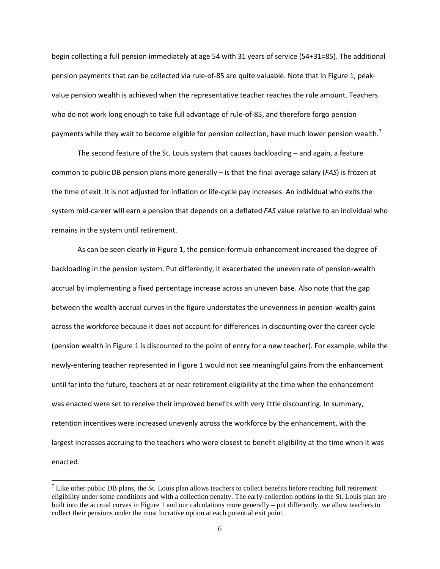begin collecting a full pension immediately at age 54 with 31 years of service (54+31=85). The additional pension payments that can be collected via rule-of-85 are quite valuable. Note that in Figure 1, peakvalue pension wealth is achieved when the representative teacher reaches the rule amount. Teachers who do not work long enough to take full advantage of rule-of-85, and therefore forgo pension payments while they wait to become eligible for pension collection, have much lower pension wealth.<sup>[7](#page-10-0)</sup>

The second feature of the St. Louis system that causes backloading – and again, a feature common to public DB pension plans more generally – is that the final average salary (*FAS*) is frozen at the time of exit. It is not adjusted for inflation or life-cycle pay increases. An individual who exits the system mid-career will earn a pension that depends on a deflated *FAS* value relative to an individual who remains in the system until retirement.

As can be seen clearly in Figure 1, the pension-formula enhancement increased the degree of backloading in the pension system. Put differently, it exacerbated the uneven rate of pension-wealth accrual by implementing a fixed percentage increase across an uneven base. Also note that the gap between the wealth-accrual curves in the figure understates the unevenness in pension-wealth gains across the workforce because it does not account for differences in discounting over the career cycle (pension wealth in Figure 1 is discounted to the point of entry for a new teacher). For example, while the newly-entering teacher represented in Figure 1 would not see meaningful gains from the enhancement until far into the future, teachers at or near retirement eligibility at the time when the enhancement was enacted were set to receive their improved benefits with very little discounting. In summary, retention incentives were increased unevenly across the workforce by the enhancement, with the largest increases accruing to the teachers who were closest to benefit eligibility at the time when it was enacted.

l

<span id="page-10-0"></span><sup>&</sup>lt;sup>7</sup> Like other public DB plans, the St. Louis plan allows teachers to collect benefits before reaching full retirement eligibility under some conditions and with a collection penalty. The early-collection options in the St. Louis plan are built into the accrual curves in Figure 1 and our calculations more generally – put differently, we allow teachers to collect their pensions under the most lucrative option at each potential exit point.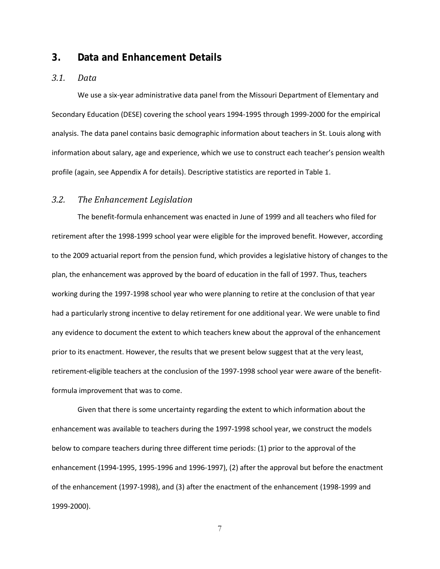### <span id="page-11-0"></span>**3. Data and Enhancement Details**

#### <span id="page-11-1"></span>*3.1. Data*

We use a six-year administrative data panel from the Missouri Department of Elementary and Secondary Education (DESE) covering the school years 1994-1995 through 1999-2000 for the empirical analysis. The data panel contains basic demographic information about teachers in St. Louis along with information about salary, age and experience, which we use to construct each teacher's pension wealth profile (again, see Appendix A for details). Descriptive statistics are reported in Table 1.

#### <span id="page-11-2"></span>*3.2. The Enhancement Legislation*

The benefit-formula enhancement was enacted in June of 1999 and all teachers who filed for retirement after the 1998-1999 school year were eligible for the improved benefit. However, according to the 2009 actuarial report from the pension fund, which provides a legislative history of changes to the plan, the enhancement was approved by the board of education in the fall of 1997. Thus, teachers working during the 1997-1998 school year who were planning to retire at the conclusion of that year had a particularly strong incentive to delay retirement for one additional year. We were unable to find any evidence to document the extent to which teachers knew about the approval of the enhancement prior to its enactment. However, the results that we present below suggest that at the very least, retirement-eligible teachers at the conclusion of the 1997-1998 school year were aware of the benefitformula improvement that was to come.

Given that there is some uncertainty regarding the extent to which information about the enhancement was available to teachers during the 1997-1998 school year, we construct the models below to compare teachers during three different time periods: (1) prior to the approval of the enhancement (1994-1995, 1995-1996 and 1996-1997), (2) after the approval but before the enactment of the enhancement (1997-1998), and (3) after the enactment of the enhancement (1998-1999 and 1999-2000).

7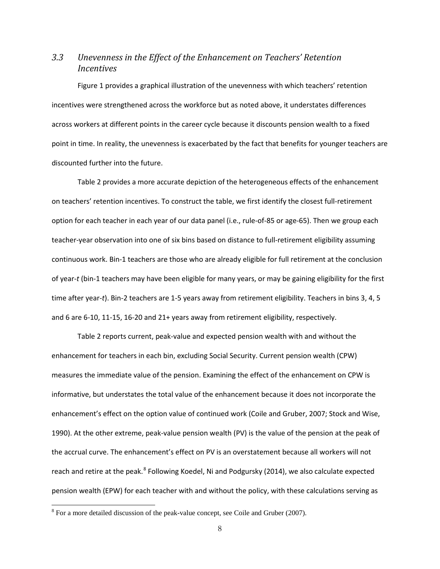### <span id="page-12-0"></span>*3.3 Unevenness in the Effect of the Enhancement on Teachers' Retention Incentives*

Figure 1 provides a graphical illustration of the unevenness with which teachers' retention incentives were strengthened across the workforce but as noted above, it understates differences across workers at different points in the career cycle because it discounts pension wealth to a fixed point in time. In reality, the unevenness is exacerbated by the fact that benefits for younger teachers are discounted further into the future.

Table 2 provides a more accurate depiction of the heterogeneous effects of the enhancement on teachers' retention incentives. To construct the table, we first identify the closest full-retirement option for each teacher in each year of our data panel (i.e., rule-of-85 or age-65). Then we group each teacher-year observation into one of six bins based on distance to full-retirement eligibility assuming continuous work. Bin-1 teachers are those who are already eligible for full retirement at the conclusion of year-*t* (bin-1 teachers may have been eligible for many years, or may be gaining eligibility for the first time after year-*t*). Bin-2 teachers are 1-5 years away from retirement eligibility. Teachers in bins 3, 4, 5 and 6 are 6-10, 11-15, 16-20 and 21+ years away from retirement eligibility, respectively.

Table 2 reports current, peak-value and expected pension wealth with and without the enhancement for teachers in each bin, excluding Social Security. Current pension wealth (CPW) measures the immediate value of the pension. Examining the effect of the enhancement on CPW is informative, but understates the total value of the enhancement because it does not incorporate the enhancement's effect on the option value of continued work (Coile and Gruber, 2007; Stock and Wise, 1990). At the other extreme, peak-value pension wealth (PV) is the value of the pension at the peak of the accrual curve. The enhancement's effect on PV is an overstatement because all workers will not reach and retire at the peak.<sup>[8](#page-12-1)</sup> Following Koedel, Ni and Podgursky (2014), we also calculate expected pension wealth (EPW) for each teacher with and without the policy, with these calculations serving as

l

<span id="page-12-1"></span><sup>&</sup>lt;sup>8</sup> For a more detailed discussion of the peak-value concept, see Coile and Gruber (2007).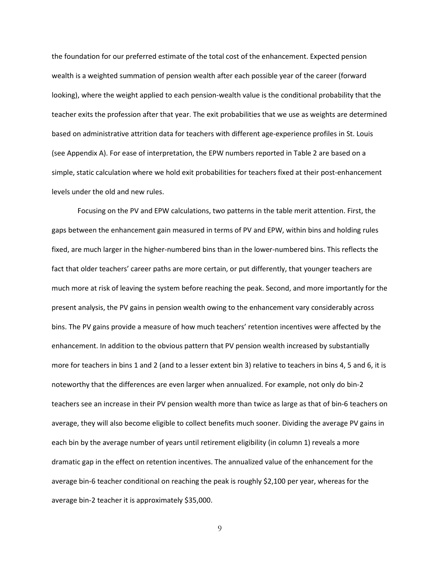the foundation for our preferred estimate of the total cost of the enhancement. Expected pension wealth is a weighted summation of pension wealth after each possible year of the career (forward looking), where the weight applied to each pension-wealth value is the conditional probability that the teacher exits the profession after that year. The exit probabilities that we use as weights are determined based on administrative attrition data for teachers with different age-experience profiles in St. Louis (see Appendix A). For ease of interpretation, the EPW numbers reported in Table 2 are based on a simple, static calculation where we hold exit probabilities for teachers fixed at their post-enhancement levels under the old and new rules.

Focusing on the PV and EPW calculations, two patterns in the table merit attention. First, the gaps between the enhancement gain measured in terms of PV and EPW, within bins and holding rules fixed, are much larger in the higher-numbered bins than in the lower-numbered bins. This reflects the fact that older teachers' career paths are more certain, or put differently, that younger teachers are much more at risk of leaving the system before reaching the peak. Second, and more importantly for the present analysis, the PV gains in pension wealth owing to the enhancement vary considerably across bins. The PV gains provide a measure of how much teachers' retention incentives were affected by the enhancement. In addition to the obvious pattern that PV pension wealth increased by substantially more for teachers in bins 1 and 2 (and to a lesser extent bin 3) relative to teachers in bins 4, 5 and 6, it is noteworthy that the differences are even larger when annualized. For example, not only do bin-2 teachers see an increase in their PV pension wealth more than twice as large as that of bin-6 teachers on average, they will also become eligible to collect benefits much sooner. Dividing the average PV gains in each bin by the average number of years until retirement eligibility (in column 1) reveals a more dramatic gap in the effect on retention incentives. The annualized value of the enhancement for the average bin-6 teacher conditional on reaching the peak is roughly \$2,100 per year, whereas for the average bin-2 teacher it is approximately \$35,000.

9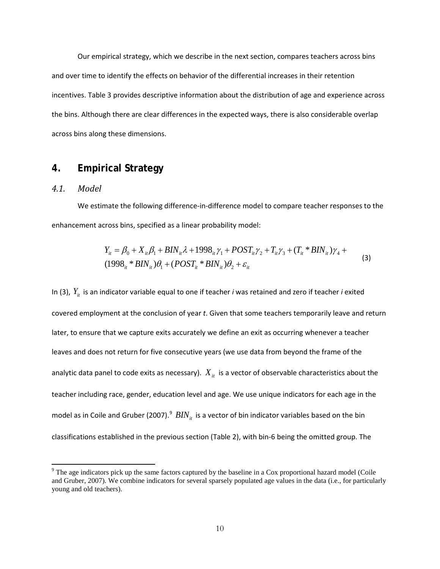Our empirical strategy, which we describe in the next section, compares teachers across bins and over time to identify the effects on behavior of the differential increases in their retention incentives. Table 3 provides descriptive information about the distribution of age and experience across the bins. Although there are clear differences in the expected ways, there is also considerable overlap across bins along these dimensions.

### <span id="page-14-0"></span>**4. Empirical Strategy**

### <span id="page-14-1"></span>*4.1. Model*

 $\overline{\phantom{a}}$ 

We estimate the following difference-in-difference model to compare teacher responses to the enhancement across bins, specified as a linear probability model:

$$
Y_{it} = \beta_0 + X_{it} \beta_1 + BIN_{it} \lambda + 1998_{it} \gamma_1 + POST_{it} \gamma_2 + T_{it} \gamma_3 + (T_{it} * BIN_{it}) \gamma_4 + (1998_{it} * BIN_{it}) \theta_1 + (POST_{it} * BIN_{it}) \theta_2 + \varepsilon_{it}
$$
\n(3)

In (3),  $Y_{it}$  is an indicator variable equal to one if teacher *i* was retained and zero if teacher *i* exited covered employment at the conclusion of year *t*. Given that some teachers temporarily leave and return later, to ensure that we capture exits accurately we define an exit as occurring whenever a teacher leaves and does not return for five consecutive years (we use data from beyond the frame of the analytic data panel to code exits as necessary).  $X_{it}$  is a vector of observable characteristics about the teacher including race, gender, education level and age. We use unique indicators for each age in the model as in Coile and Gruber (2007).<sup>[9](#page-14-2)</sup>  $BIN_{it}$  is a vector of bin indicator variables based on the bin classifications established in the previous section (Table 2), with bin-6 being the omitted group. The

<span id="page-14-2"></span><sup>&</sup>lt;sup>9</sup> The age indicators pick up the same factors captured by the baseline in a Cox proportional hazard model (Coile and Gruber, 2007). We combine indicators for several sparsely populated age values in the data (i.e., for particularly young and old teachers).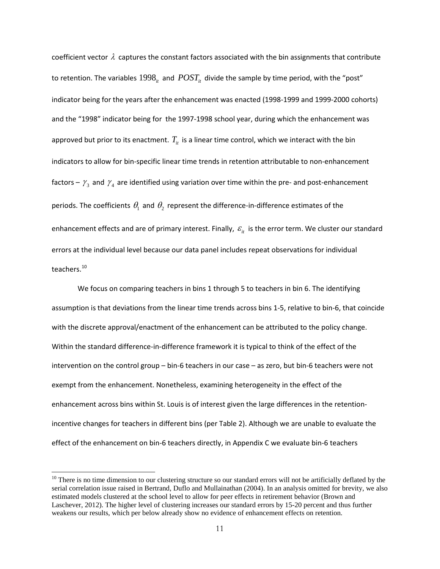coefficient vector  $\lambda$  captures the constant factors associated with the bin assignments that contribute to retention. The variables  $1998<sub>it</sub>$  and  $POST<sub>it</sub>$  divide the sample by time period, with the "post" indicator being for the years after the enhancement was enacted (1998-1999 and 1999-2000 cohorts) and the "1998" indicator being for the 1997-1998 school year, during which the enhancement was approved but prior to its enactment.  $T_{it}$  is a linear time control, which we interact with the bin indicators to allow for bin-specific linear time trends in retention attributable to non-enhancement factors –  $\gamma_3$  and  $\gamma_4$  are identified using variation over time within the pre- and post-enhancement periods. The coefficients  $\theta_1$  and  $\theta_2$  represent the difference-in-difference estimates of the enhancement effects and are of primary interest. Finally,  $\varepsilon$ <sub>it</sub> is the error term. We cluster our standard errors at the individual level because our data panel includes repeat observations for individual teachers.<sup>[10](#page-15-0)</sup>

We focus on comparing teachers in bins 1 through 5 to teachers in bin 6. The identifying assumption is that deviations from the linear time trends across bins 1-5, relative to bin-6, that coincide with the discrete approval/enactment of the enhancement can be attributed to the policy change. Within the standard difference-in-difference framework it is typical to think of the effect of the intervention on the control group – bin-6 teachers in our case – as zero, but bin-6 teachers were not exempt from the enhancement. Nonetheless, examining heterogeneity in the effect of the enhancement across bins within St. Louis is of interest given the large differences in the retentionincentive changes for teachers in different bins (per Table 2). Although we are unable to evaluate the effect of the enhancement on bin-6 teachers directly, in Appendix C we evaluate bin-6 teachers

 $\overline{\phantom{a}}$ 

<span id="page-15-0"></span> $10$  There is no time dimension to our clustering structure so our standard errors will not be artificially deflated by the serial correlation issue raised in Bertrand, Duflo and Mullainathan (2004). In an analysis omitted for brevity, we also estimated models clustered at the school level to allow for peer effects in retirement behavior (Brown and Laschever, 2012). The higher level of clustering increases our standard errors by 15-20 percent and thus further weakens our results, which per below already show no evidence of enhancement effects on retention.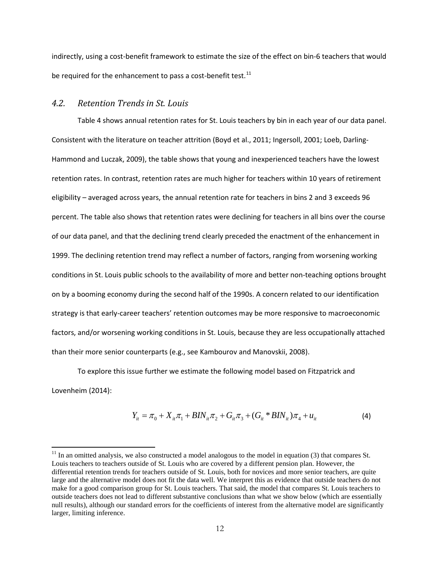indirectly, using a cost-benefit framework to estimate the size of the effect on bin-6 teachers that would be required for the enhancement to pass a cost-benefit test.<sup>[11](#page-16-1)</sup>

### <span id="page-16-0"></span>*4.2. Retention Trends in St. Louis*

 $\overline{\phantom{a}}$ 

Table 4 shows annual retention rates for St. Louis teachers by bin in each year of our data panel. Consistent with the literature on teacher attrition (Boyd et al., 2011; Ingersoll, 2001; Loeb, Darling-Hammond and Luczak, 2009), the table shows that young and inexperienced teachers have the lowest retention rates. In contrast, retention rates are much higher for teachers within 10 years of retirement eligibility – averaged across years, the annual retention rate for teachers in bins 2 and 3 exceeds 96 percent. The table also shows that retention rates were declining for teachers in all bins over the course of our data panel, and that the declining trend clearly preceded the enactment of the enhancement in 1999. The declining retention trend may reflect a number of factors, ranging from worsening working conditions in St. Louis public schools to the availability of more and better non-teaching options brought on by a booming economy during the second half of the 1990s. A concern related to our identification strategy is that early-career teachers' retention outcomes may be more responsive to macroeconomic factors, and/or worsening working conditions in St. Louis, because they are less occupationally attached than their more senior counterparts (e.g., see Kambourov and Manovskii, 2008).

To explore this issue further we estimate the following model based on Fitzpatrick and Lovenheim (2014):

$$
Y_{it} = \pi_0 + X_{it}\pi_1 + BIN_{it}\pi_2 + G_{it}\pi_3 + (G_{it} * BIN_{it})\pi_4 + u_{it}
$$
\n(4)

<span id="page-16-1"></span> $11$  In an omitted analysis, we also constructed a model analogous to the model in equation (3) that compares St. Louis teachers to teachers outside of St. Louis who are covered by a different pension plan. However, the differential retention trends for teachers outside of St. Louis, both for novices and more senior teachers, are quite large and the alternative model does not fit the data well. We interpret this as evidence that outside teachers do not make for a good comparison group for St. Louis teachers. That said, the model that compares St. Louis teachers to outside teachers does not lead to different substantive conclusions than what we show below (which are essentially null results), although our standard errors for the coefficients of interest from the alternative model are significantly larger, limiting inference.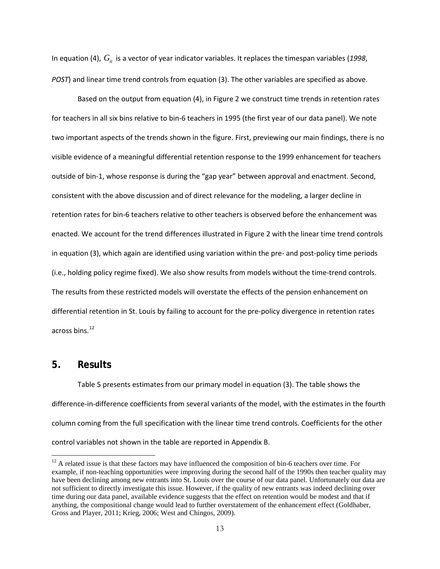In equation (4),  $G_i$  is a vector of year indicator variables. It replaces the timespan variables (1998, *POST*) and linear time trend controls from equation (3). The other variables are specified as above.

Based on the output from equation (4), in Figure 2 we construct time trends in retention rates for teachers in all six bins relative to bin-6 teachers in 1995 (the first year of our data panel). We note two important aspects of the trends shown in the figure. First, previewing our main findings, there is no visible evidence of a meaningful differential retention response to the 1999 enhancement for teachers outside of bin-1, whose response is during the "gap year" between approval and enactment. Second, consistent with the above discussion and of direct relevance for the modeling, a larger decline in retention rates for bin-6 teachers relative to other teachers is observed before the enhancement was enacted. We account for the trend differences illustrated in Figure 2 with the linear time trend controls in equation (3), which again are identified using variation within the pre- and post-policy time periods (i.e., holding policy regime fixed). We also show results from models without the time-trend controls. The results from these restricted models will overstate the effects of the pension enhancement on differential retention in St. Louis by failing to account for the pre-policy divergence in retention rates across bins.[12](#page-17-1)

### <span id="page-17-0"></span>**5. Results**

l

Table 5 presents estimates from our primary model in equation (3). The table shows the difference-in-difference coefficients from several variants of the model, with the estimates in the fourth column coming from the full specification with the linear time trend controls. Coefficients for the other control variables not shown in the table are reported in Appendix B.

<span id="page-17-1"></span><sup>&</sup>lt;sup>12</sup> A related issue is that these factors may have influenced the composition of bin-6 teachers over time. For example, if non-teaching opportunities were improving during the second half of the 1990s then teacher quality may have been declining among new entrants into St. Louis over the course of our data panel. Unfortunately our data are not sufficient to directly investigate this issue. However, if the quality of new entrants was indeed declining over time during our data panel, available evidence suggests that the effect on retention would be modest and that if anything, the compositional change would lead to further overstatement of the enhancement effect (Goldhaber, Gross and Player, 2011; Krieg, 2006; West and Chingos, 2009).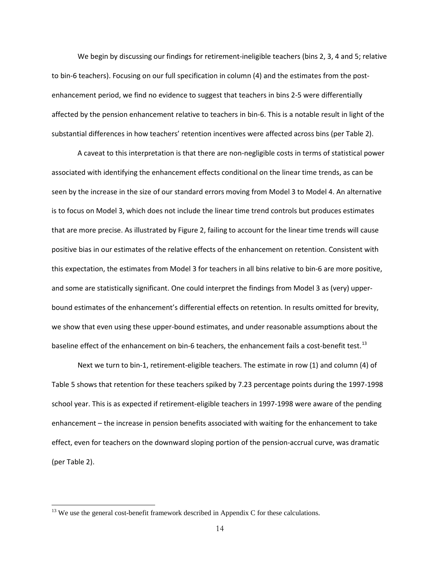We begin by discussing our findings for retirement-ineligible teachers (bins 2, 3, 4 and 5; relative to bin-6 teachers). Focusing on our full specification in column (4) and the estimates from the postenhancement period, we find no evidence to suggest that teachers in bins 2-5 were differentially affected by the pension enhancement relative to teachers in bin-6. This is a notable result in light of the substantial differences in how teachers' retention incentives were affected across bins (per Table 2).

A caveat to this interpretation is that there are non-negligible costs in terms of statistical power associated with identifying the enhancement effects conditional on the linear time trends, as can be seen by the increase in the size of our standard errors moving from Model 3 to Model 4. An alternative is to focus on Model 3, which does not include the linear time trend controls but produces estimates that are more precise. As illustrated by Figure 2, failing to account for the linear time trends will cause positive bias in our estimates of the relative effects of the enhancement on retention. Consistent with this expectation, the estimates from Model 3 for teachers in all bins relative to bin-6 are more positive, and some are statistically significant. One could interpret the findings from Model 3 as (very) upperbound estimates of the enhancement's differential effects on retention. In results omitted for brevity, we show that even using these upper-bound estimates, and under reasonable assumptions about the baseline effect of the enhancement on bin-6 teachers, the enhancement fails a cost-benefit test.<sup>[13](#page-18-0)</sup>

Next we turn to bin-1, retirement-eligible teachers. The estimate in row (1) and column (4) of Table 5 shows that retention for these teachers spiked by 7.23 percentage points during the 1997-1998 school year. This is as expected if retirement-eligible teachers in 1997-1998 were aware of the pending enhancement – the increase in pension benefits associated with waiting for the enhancement to take effect, even for teachers on the downward sloping portion of the pension-accrual curve, was dramatic (per Table 2).

l

<span id="page-18-0"></span> $13$  We use the general cost-benefit framework described in Appendix C for these calculations.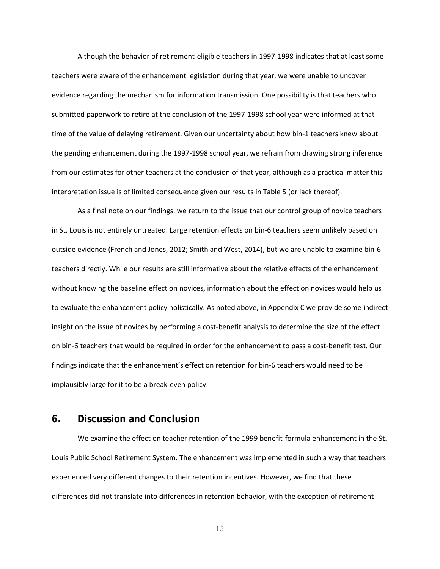Although the behavior of retirement-eligible teachers in 1997-1998 indicates that at least some teachers were aware of the enhancement legislation during that year, we were unable to uncover evidence regarding the mechanism for information transmission. One possibility is that teachers who submitted paperwork to retire at the conclusion of the 1997-1998 school year were informed at that time of the value of delaying retirement. Given our uncertainty about how bin-1 teachers knew about the pending enhancement during the 1997-1998 school year, we refrain from drawing strong inference from our estimates for other teachers at the conclusion of that year, although as a practical matter this interpretation issue is of limited consequence given our results in Table 5 (or lack thereof).

As a final note on our findings, we return to the issue that our control group of novice teachers in St. Louis is not entirely untreated. Large retention effects on bin-6 teachers seem unlikely based on outside evidence (French and Jones, 2012; Smith and West, 2014), but we are unable to examine bin-6 teachers directly. While our results are still informative about the relative effects of the enhancement without knowing the baseline effect on novices, information about the effect on novices would help us to evaluate the enhancement policy holistically. As noted above, in Appendix C we provide some indirect insight on the issue of novices by performing a cost-benefit analysis to determine the size of the effect on bin-6 teachers that would be required in order for the enhancement to pass a cost-benefit test. Our findings indicate that the enhancement's effect on retention for bin-6 teachers would need to be implausibly large for it to be a break-even policy.

### <span id="page-19-0"></span>**6. Discussion and Conclusion**

We examine the effect on teacher retention of the 1999 benefit-formula enhancement in the St. Louis Public School Retirement System. The enhancement was implemented in such a way that teachers experienced very different changes to their retention incentives. However, we find that these differences did not translate into differences in retention behavior, with the exception of retirement-

15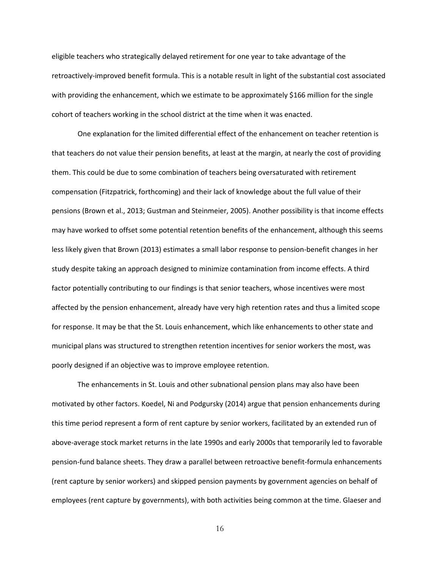eligible teachers who strategically delayed retirement for one year to take advantage of the retroactively-improved benefit formula. This is a notable result in light of the substantial cost associated with providing the enhancement, which we estimate to be approximately \$166 million for the single cohort of teachers working in the school district at the time when it was enacted.

One explanation for the limited differential effect of the enhancement on teacher retention is that teachers do not value their pension benefits, at least at the margin, at nearly the cost of providing them. This could be due to some combination of teachers being oversaturated with retirement compensation (Fitzpatrick, forthcoming) and their lack of knowledge about the full value of their pensions (Brown et al., 2013; Gustman and Steinmeier, 2005). Another possibility is that income effects may have worked to offset some potential retention benefits of the enhancement, although this seems less likely given that Brown (2013) estimates a small labor response to pension-benefit changes in her study despite taking an approach designed to minimize contamination from income effects. A third factor potentially contributing to our findings is that senior teachers, whose incentives were most affected by the pension enhancement, already have very high retention rates and thus a limited scope for response. It may be that the St. Louis enhancement, which like enhancements to other state and municipal plans was structured to strengthen retention incentives for senior workers the most, was poorly designed if an objective was to improve employee retention.

The enhancements in St. Louis and other subnational pension plans may also have been motivated by other factors. Koedel, Ni and Podgursky (2014) argue that pension enhancements during this time period represent a form of rent capture by senior workers, facilitated by an extended run of above-average stock market returns in the late 1990s and early 2000s that temporarily led to favorable pension-fund balance sheets. They draw a parallel between retroactive benefit-formula enhancements (rent capture by senior workers) and skipped pension payments by government agencies on behalf of employees (rent capture by governments), with both activities being common at the time. Glaeser and

16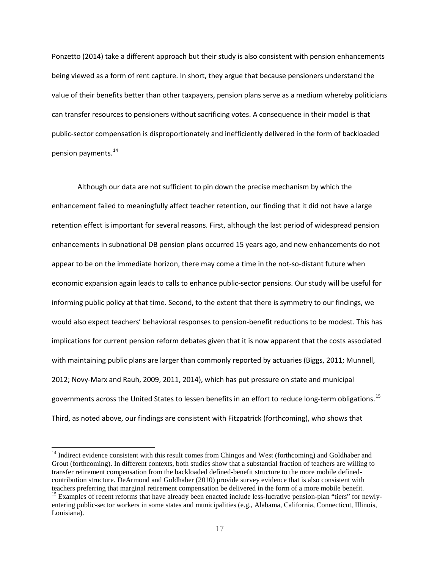Ponzetto (2014) take a different approach but their study is also consistent with pension enhancements being viewed as a form of rent capture. In short, they argue that because pensioners understand the value of their benefits better than other taxpayers, pension plans serve as a medium whereby politicians can transfer resources to pensioners without sacrificing votes. A consequence in their model is that public-sector compensation is disproportionately and inefficiently delivered in the form of backloaded pension payments.<sup>[14](#page-21-0)</sup>

Although our data are not sufficient to pin down the precise mechanism by which the enhancement failed to meaningfully affect teacher retention, our finding that it did not have a large retention effect is important for several reasons. First, although the last period of widespread pension enhancements in subnational DB pension plans occurred 15 years ago, and new enhancements do not appear to be on the immediate horizon, there may come a time in the not-so-distant future when economic expansion again leads to calls to enhance public-sector pensions. Our study will be useful for informing public policy at that time. Second, to the extent that there is symmetry to our findings, we would also expect teachers' behavioral responses to pension-benefit reductions to be modest. This has implications for current pension reform debates given that it is now apparent that the costs associated with maintaining public plans are larger than commonly reported by actuaries (Biggs, 2011; Munnell, 2012; Novy-Marx and Rauh, 2009, 2011, 2014), which has put pressure on state and municipal governments across the United States to lessen benefits in an effort to reduce long-term obligations. [15](#page-21-1) Third, as noted above, our findings are consistent with Fitzpatrick (forthcoming), who shows that

 $\overline{\phantom{a}}$ 

<span id="page-21-0"></span><sup>&</sup>lt;sup>14</sup> Indirect evidence consistent with this result comes from Chingos and West (forthcoming) and Goldhaber and Grout (forthcoming). In different contexts, both studies show that a substantial fraction of teachers are willing to transfer retirement compensation from the backloaded defined-benefit structure to the more mobile definedcontribution structure. DeArmond and Goldhaber (2010) provide survey evidence that is also consistent with teachers preferring that marginal retirement compensation be delivered in the form of a more mobile benefit. <sup>15</sup> Examples of recent reforms that have already been enacted include less-lucrative pension-plan "tiers" for newly-

<span id="page-21-1"></span>entering public-sector workers in some states and municipalities (e.g., Alabama, California, Connecticut, Illinois, Louisiana).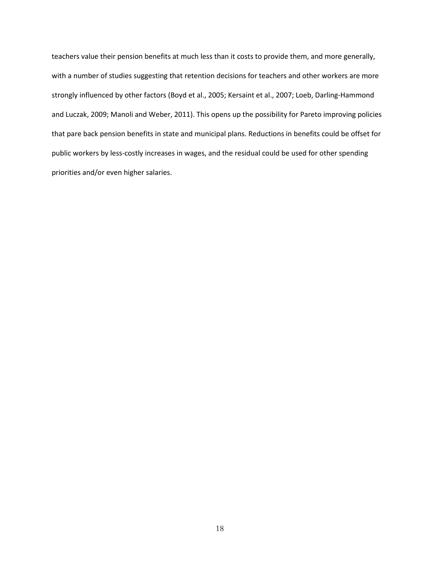teachers value their pension benefits at much less than it costs to provide them, and more generally, with a number of studies suggesting that retention decisions for teachers and other workers are more strongly influenced by other factors (Boyd et al., 2005; Kersaint et al., 2007; Loeb, Darling-Hammond and Luczak, 2009; Manoli and Weber, 2011). This opens up the possibility for Pareto improving policies that pare back pension benefits in state and municipal plans. Reductions in benefits could be offset for public workers by less-costly increases in wages, and the residual could be used for other spending priorities and/or even higher salaries.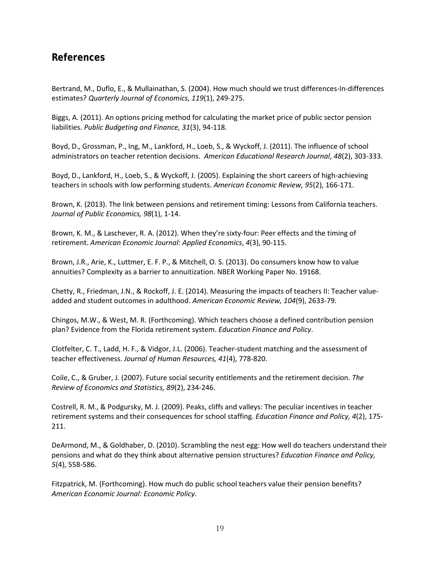### **References**

Bertrand, M., Duflo, E., & Mullainathan, S. (2004). How much should we trust differences-In-differences estimates? *Quarterly Journal of Economics, 119*(1), 249-275.

Biggs, A. (2011). An options pricing method for calculating the market price of public sector pension liabilities. *Public Budgeting and Finance, 31*(3), 94-118.

Boyd, D., Grossman, P., Ing, M., Lankford, H., Loeb, S., & Wyckoff, J. (2011). The influence of school administrators on teacher retention decisions. *American Educational Research Journal*, *48*(2), 303-333.

Boyd, D., Lankford, H., Loeb, S., & Wyckoff, J. (2005). Explaining the short careers of high-achieving teachers in schools with low performing students. *American Economic Review, 95*(2), 166-171.

Brown, K. (2013). The link between pensions and retirement timing: Lessons from California teachers. *Journal of Public Economics, 98*(1), 1-14.

Brown, K. M., & Laschever, R. A. (2012). When they're sixty-four: Peer effects and the timing of retirement. *American Economic Journal: Applied Economics*, *4*(3), 90-115.

Brown, J.R., Arie, K., Luttmer, E. F. P., & Mitchell, O. S. (2013). Do consumers know how to value annuities? Complexity as a barrier to annuitization. NBER Working Paper No. 19168.

Chetty, R., Friedman, J.N., & Rockoff, J. E. (2014). Measuring the impacts of teachers II: Teacher valueadded and student outcomes in adulthood. *American Economic Review, 104*(9), 2633-79.

Chingos, M.W., & West, M. R. (Forthcoming). Which teachers choose a defined contribution pension plan? Evidence from the Florida retirement system. *Education Finance and Policy*.

Clotfelter, C. T., Ladd, H. F., & Vidgor, J.L. (2006). Teacher-student matching and the assessment of teacher effectiveness. *Journal of Human Resources, 41*(4), 778-820.

Coile, C., & Gruber, J. (2007). Future social security entitlements and the retirement decision. *The Review of Economics and Statistics, 89*(2), 234-246.

Costrell, R. M., & Podgursky, M. J. (2009). Peaks, cliffs and valleys: The peculiar incentives in teacher retirement systems and their consequences for school staffing. *Education Finance and Policy, 4*(2), 175- 211.

DeArmond, M., & Goldhaber, D. (2010). Scrambling the nest egg: How well do teachers understand their pensions and what do they think about alternative pension structures? *Education Finance and Policy, 5*(4), 558-586.

Fitzpatrick, M. (Forthcoming). How much do public school teachers value their pension benefits? *American Economic Journal: Economic Policy*.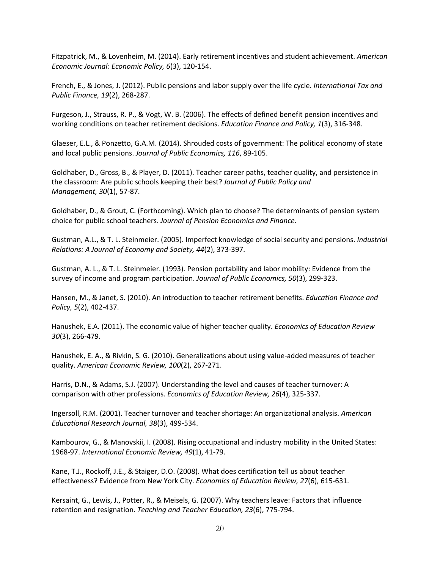Fitzpatrick, M., & Lovenheim, M. (2014). Early retirement incentives and student achievement. *American Economic Journal: Economic Policy, 6*(3), 120-154.

French, E., & Jones, J. (2012). Public pensions and labor supply over the life cycle. *International Tax and Public Finance, 19*(2), 268-287.

Furgeson, J., Strauss, R. P., & Vogt, W. B. (2006). The effects of defined benefit pension incentives and working conditions on teacher retirement decisions. *Education Finance and Policy, 1*(3), 316-348.

Glaeser, E.L., & Ponzetto, G.A.M. (2014). Shrouded costs of government: The political economy of state and local public pensions. *Journal of Public Economics, 116*, 89-105.

Goldhaber, D., Gross, B., & Player, D. (2011). Teacher career paths, teacher quality, and persistence in the classroom: Are public schools keeping their best? *Journal of Public Policy and Management, 30*(1), 57-87.

Goldhaber, D., & Grout, C. (Forthcoming). Which plan to choose? The determinants of pension system choice for public school teachers. *Journal of Pension Economics and Finance*.

Gustman, A.L., & T. L. Steinmeier. (2005). Imperfect knowledge of social security and pensions. *Industrial Relations: A Journal of Economy and Society, 44*(2), 373-397.

Gustman, A. L., & T. L. Steinmeier. (1993). Pension portability and labor mobility: Evidence from the survey of income and program participation. *Journal of Public Economics, 50*(3), 299-323.

Hansen, M., & Janet, S. (2010). An introduction to teacher retirement benefits. *Education Finance and Policy, 5*(2), 402-437.

Hanushek, E.A. (2011). The economic value of higher teacher quality. *Economics of Education Review 30*(3), 266-479.

Hanushek, E. A., & Rivkin, S. G. (2010). Generalizations about using value-added measures of teacher quality. *American Economic Review, 100*(2), 267-271.

Harris, D.N., & Adams, S.J. (2007). Understanding the level and causes of teacher turnover: A comparison with other professions. *Economics of Education Review, 26*(4), 325-337.

Ingersoll, R.M. (2001). Teacher turnover and teacher shortage: An organizational analysis. *American Educational Research Journal, 38*(3), 499-534.

Kambourov, G., & Manovskii, I. (2008). Rising occupational and industry mobility in the United States: 1968-97. *International Economic Review, 49*(1), 41-79.

Kane, T.J., Rockoff, J.E., & Staiger, D.O. (2008). What does certification tell us about teacher effectiveness? Evidence from New York City. *Economics of Education Review, 27*(6), 615-631.

Kersaint, G., Lewis, J., Potter, R., & Meisels, G. (2007). Why teachers leave: Factors that influence retention and resignation. *Teaching and Teacher Education, 23*(6), 775-794.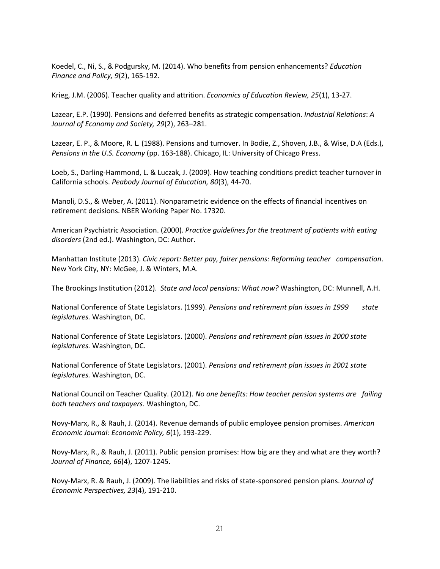Koedel, C., Ni, S., & Podgursky, M. (2014). Who benefits from pension enhancements? *Education Finance and Policy, 9*(2), 165-192.

Krieg, J.M. (2006). Teacher quality and attrition. *Economics of Education Review, 25*(1), 13-27.

Lazear, E.P. (1990). Pensions and deferred benefits as strategic compensation. *Industrial Relations*: *A Journal of Economy and Society, 29*(2), 263–281.

Lazear, E. P., & Moore, R. L. (1988). Pensions and turnover. In Bodie, Z., Shoven, J.B., & Wise, D.A (Eds.), *Pensions in the U.S. Economy* (pp. 163-188). Chicago, IL: University of Chicago Press.

Loeb, S., Darling-Hammond, L. & Luczak, J. (2009). How teaching conditions predict teacher turnover in California schools. *Peabody Journal of Education, 80*(3), 44-70.

Manoli, D.S., & Weber, A. (2011). Nonparametric evidence on the effects of financial incentives on retirement decisions. NBER Working Paper No. 17320.

American Psychiatric Association. (2000). *Practice guidelines for the treatment of patients with eating disorders* (2nd ed.). Washington, DC: Author.

Manhattan Institute (2013). *Civic report: Better pay, fairer pensions: Reforming teacher compensation*. New York City, NY: McGee, J. & Winters, M.A.

The Brookings Institution (2012). *State and local pensions: What now?* Washington, DC: Munnell, A.H.

National Conference of State Legislators. (1999). *Pensions and retirement plan issues in 1999* state *legislatures.* Washington, DC.

National Conference of State Legislators. (2000). *Pensions and retirement plan issues in 2000 state legislatures.* Washington, DC.

National Conference of State Legislators. (2001). *Pensions and retirement plan issues in 2001 state legislatures.* Washington, DC.

National Council on Teacher Quality. (2012). *No one benefits: How teacher pension systems are failing both teachers and taxpayers*. Washington, DC.

Novy-Marx, R., & Rauh, J. (2014). Revenue demands of public employee pension promises. *American Economic Journal: Economic Policy, 6*(1), 193-229.

Novy-Marx, R., & Rauh, J. (2011). Public pension promises: How big are they and what are they worth? *Journal of Finance, 66*(4), 1207-1245.

Novy-Marx, R. & Rauh, J. (2009). The liabilities and risks of state-sponsored pension plans. *Journal of Economic Perspectives, 23*(4), 191-210.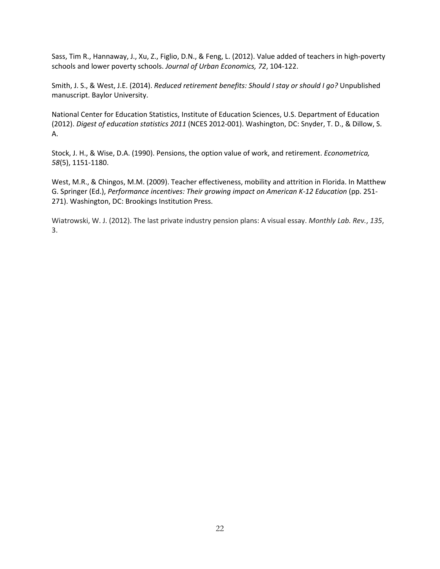Sass, Tim R., Hannaway, J., Xu, Z., Figlio, D.N., & Feng, L. (2012). Value added of teachers in high-poverty schools and lower poverty schools. *Journal of Urban Economics, 72*, 104-122.

Smith, J. S., & West, J.E. (2014). *Reduced retirement benefits: Should I stay or should I go?* Unpublished manuscript. Baylor University.

National Center for Education Statistics, Institute of Education Sciences, U.S. Department of Education (2012). *Digest of education statistics 2011* (NCES 2012-001). Washington, DC: Snyder, T. D., & Dillow, S. A.

Stock, J. H., & Wise, D.A. (1990). Pensions, the option value of work, and retirement. *Econometrica, 58*(5), 1151-1180.

West, M.R., & Chingos, M.M. (2009). Teacher effectiveness, mobility and attrition in Florida. In Matthew G. Springer (Ed.), *Performance incentives: Their growing impact on American K-12 Education* (pp. 251- 271). Washington, DC: Brookings Institution Press.

Wiatrowski, W. J. (2012). The last private industry pension plans: A visual essay. *Monthly Lab. Rev.*, *135*, 3.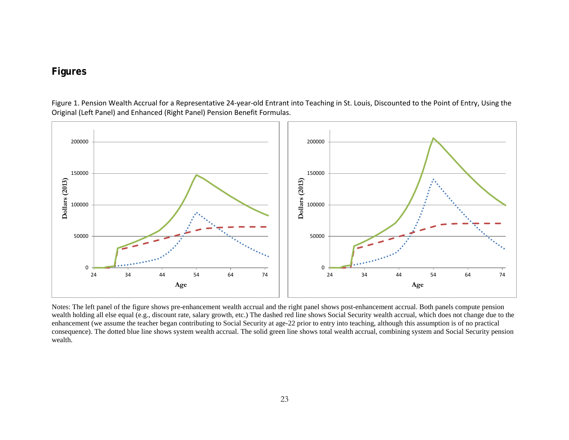## **Figures**

Figure 1. Pension Wealth Accrual for a Representative 24-year-old Entrant into Teaching in St. Louis, Discounted to the Point of Entry, Using the Original (Left Panel) and Enhanced (Right Panel) Pension Benefit Formulas.

<span id="page-27-0"></span>

Notes: The left panel of the figure shows pre-enhancement wealth accrual and the right panel shows post-enhancement accrual. Both panels compute pension wealth holding all else equal (e.g., discount rate, salary growth, etc.) The dashed red line shows Social Security wealth accrual, which does not change due to the enhancement (we assume the teacher began contributing to Social Security at age-22 prior to entry into teaching, although this assumption is of no practical consequence). The dotted blue line shows system wealth accrual. The solid green line shows total wealth accrual, combining system and Social Security pension wealth.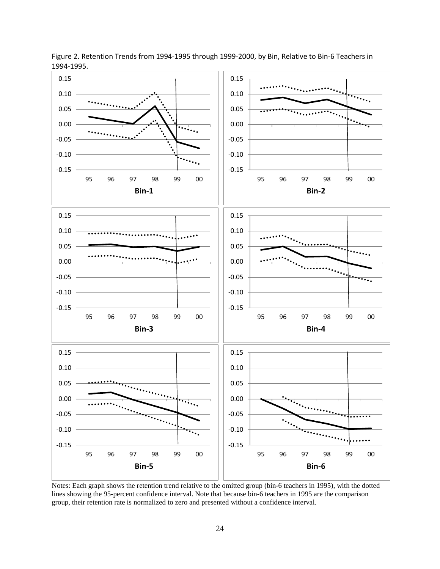

Figure 2. Retention Trends from 1994-1995 through 1999-2000, by Bin, Relative to Bin-6 Teachers in 1994-1995.

Notes: Each graph shows the retention trend relative to the omitted group (bin-6 teachers in 1995), with the dotted lines showing the 95-percent confidence interval. Note that because bin-6 teachers in 1995 are the comparison group, their retention rate is normalized to zero and presented without a confidence interval.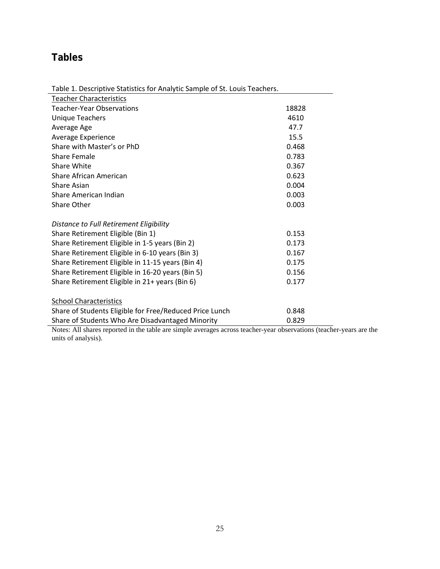# <span id="page-29-0"></span>**Tables**

Table 1. Descriptive Statistics for Analytic Sample of St. Louis Teachers.

| <b>Teacher Characteristics</b>                          |       |  |
|---------------------------------------------------------|-------|--|
| <b>Teacher-Year Observations</b>                        | 18828 |  |
| <b>Unique Teachers</b>                                  | 4610  |  |
| Average Age                                             | 47.7  |  |
| Average Experience                                      | 15.5  |  |
| Share with Master's or PhD                              | 0.468 |  |
| Share Female                                            | 0.783 |  |
| Share White                                             | 0.367 |  |
| Share African American                                  | 0.623 |  |
| <b>Share Asian</b>                                      | 0.004 |  |
| Share American Indian                                   | 0.003 |  |
| Share Other                                             | 0.003 |  |
|                                                         |       |  |
| Distance to Full Retirement Eligibility                 |       |  |
| Share Retirement Eligible (Bin 1)                       | 0.153 |  |
| Share Retirement Eligible in 1-5 years (Bin 2)          | 0.173 |  |
| Share Retirement Eligible in 6-10 years (Bin 3)         | 0.167 |  |
| Share Retirement Eligible in 11-15 years (Bin 4)        | 0.175 |  |
| Share Retirement Eligible in 16-20 years (Bin 5)        | 0.156 |  |
| Share Retirement Eligible in 21+ years (Bin 6)          | 0.177 |  |
|                                                         |       |  |
| <b>School Characteristics</b>                           |       |  |
| Share of Students Eligible for Free/Reduced Price Lunch | 0.848 |  |
| Share of Students Who Are Disadvantaged Minority        | 0.829 |  |

Notes: All shares reported in the table are simple averages across teacher-year observations (teacher-years are the units of analysis).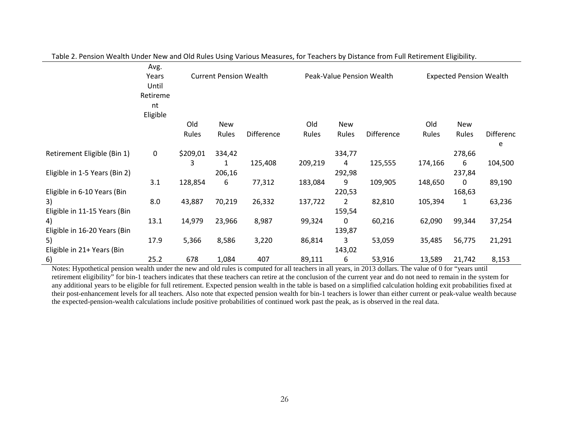|                               | Avg.        |          |                               |                   |         |            |                           |                                |        |                  |
|-------------------------------|-------------|----------|-------------------------------|-------------------|---------|------------|---------------------------|--------------------------------|--------|------------------|
|                               | Years       |          | <b>Current Pension Wealth</b> |                   |         |            | Peak-Value Pension Wealth | <b>Expected Pension Wealth</b> |        |                  |
|                               | Until       |          |                               |                   |         |            |                           |                                |        |                  |
|                               | Retireme    |          |                               |                   |         |            |                           |                                |        |                  |
|                               | nt          |          |                               |                   |         |            |                           |                                |        |                  |
|                               | Eligible    |          |                               |                   |         |            |                           |                                |        |                  |
|                               |             | Old      | <b>New</b>                    |                   | Old     | <b>New</b> |                           | Old                            | New    |                  |
|                               |             | Rules    | Rules                         | <b>Difference</b> | Rules   | Rules      | <b>Difference</b>         | Rules                          | Rules  | <b>Differenc</b> |
|                               |             |          |                               |                   |         |            |                           |                                |        | e                |
| Retirement Eligible (Bin 1)   | $\mathbf 0$ | \$209,01 | 334,42                        |                   |         | 334,77     |                           |                                | 278,66 |                  |
|                               |             | 3        | 1                             | 125,408           | 209,219 | 4          | 125,555                   | 174,166                        | 6      | 104,500          |
| Eligible in 1-5 Years (Bin 2) |             |          | 206,16                        |                   |         | 292,98     |                           |                                | 237,84 |                  |
|                               | 3.1         | 128,854  | 6                             | 77,312            | 183,084 | 9          | 109,905                   | 148,650                        | 0      | 89,190           |
| Eligible in 6-10 Years (Bin   |             |          |                               |                   |         | 220,53     |                           |                                | 168,63 |                  |
| 3)                            | 8.0         | 43,887   | 70,219                        | 26,332            | 137,722 | 2          | 82,810                    | 105,394                        | 1      | 63,236           |
| Eligible in 11-15 Years (Bin  |             |          |                               |                   |         | 159,54     |                           |                                |        |                  |
| 4)                            | 13.1        | 14,979   | 23,966                        | 8,987             | 99,324  | 0          | 60,216                    | 62,090                         | 99,344 | 37,254           |
| Eligible in 16-20 Years (Bin  |             |          |                               |                   |         | 139,87     |                           |                                |        |                  |
| 5)                            | 17.9        | 5,366    | 8,586                         | 3,220             | 86,814  | 3          | 53,059                    | 35,485                         | 56,775 | 21,291           |
| Eligible in 21+ Years (Bin    |             |          |                               |                   |         | 143,02     |                           |                                |        |                  |
| 6)                            | 25.2        | 678      | 1,084                         | 407               | 89,111  | 6          | 53,916                    | 13,589                         | 21,742 | 8,153            |

Table 2. Pension Wealth Under New and Old Rules Using Various Measures, for Teachers by Distance from Full Retirement Eligibility.

Notes: Hypothetical pension wealth under the new and old rules is computed for all teachers in all years, in 2013 dollars. The value of 0 for "years until retirement eligibility" for bin-1 teachers indicates that these teachers can retire at the conclusion of the current year and do not need to remain in the system for any additional years to be eligible for full retirement. Expected pension wealth in the table is based on a simplified calculation holding exit probabilities fixed at their post-enhancement levels for all teachers. Also note that expected pension wealth for bin-1 teachers is lower than either current or peak-value wealth because the expected-pension-wealth calculations include positive probabilities of continued work past the peak, as is observed in the real data.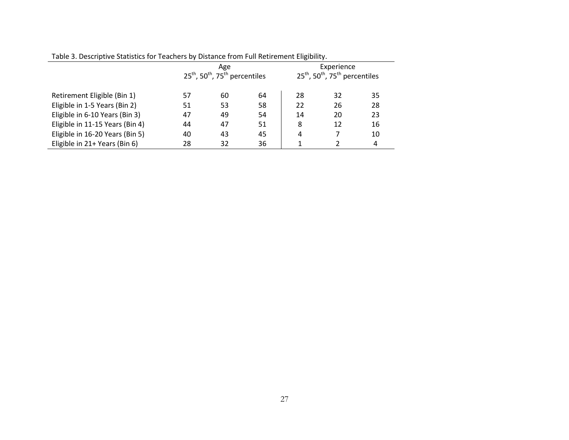|                                 |    | Age<br>$25th$ , 50 <sup>th</sup> , 75 <sup>th</sup> percentiles |    | Experience<br>$25^{\text{th}}$ , 50 <sup>th</sup> , 75 <sup>th</sup> percentiles |    |    |  |
|---------------------------------|----|-----------------------------------------------------------------|----|----------------------------------------------------------------------------------|----|----|--|
| Retirement Eligible (Bin 1)     | 57 | 60                                                              | 64 | 28                                                                               | 32 | 35 |  |
| Eligible in 1-5 Years (Bin 2)   | 51 | 53                                                              | 58 | 22                                                                               | 26 | 28 |  |
| Eligible in 6-10 Years (Bin 3)  | 47 | 49                                                              | 54 | 14                                                                               | 20 | 23 |  |
| Eligible in 11-15 Years (Bin 4) | 44 | 47                                                              | 51 | 8                                                                                | 12 | 16 |  |
| Eligible in 16-20 Years (Bin 5) | 40 | 43                                                              | 45 | 4                                                                                |    | 10 |  |
| Eligible in 21+ Years (Bin 6)   | 28 | 32                                                              | 36 |                                                                                  |    | 4  |  |

Table 3. Descriptive Statistics for Teachers by Distance from Full Retirement Eligibility.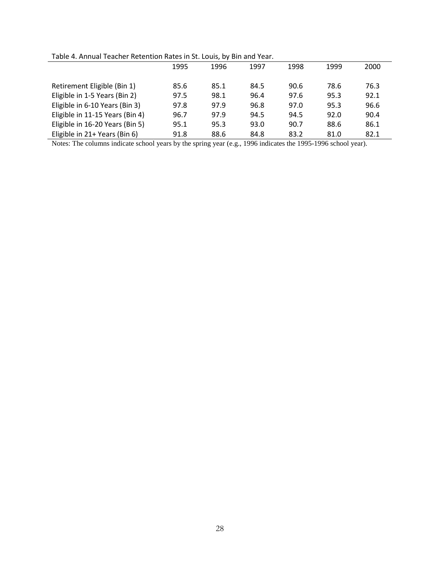|  | Table 4. Annual Teacher Retention Rates in St. Louis, by Bin and Year. |  |  |
|--|------------------------------------------------------------------------|--|--|
|--|------------------------------------------------------------------------|--|--|

| Table 4. Allhaar Teacher Retention Rates in St. Louis, by Dill and Tear. |      |      |      |      |      |      |  |  |  |
|--------------------------------------------------------------------------|------|------|------|------|------|------|--|--|--|
|                                                                          | 1995 | 1996 | 1997 | 1998 | 1999 | 2000 |  |  |  |
| Retirement Eligible (Bin 1)                                              | 85.6 | 85.1 | 84.5 | 90.6 | 78.6 | 76.3 |  |  |  |
| Eligible in 1-5 Years (Bin 2)                                            | 97.5 | 98.1 | 96.4 | 97.6 | 95.3 | 92.1 |  |  |  |
| Eligible in 6-10 Years (Bin 3)                                           | 97.8 | 97.9 | 96.8 | 97.0 | 95.3 | 96.6 |  |  |  |
| Eligible in 11-15 Years (Bin 4)                                          | 96.7 | 97.9 | 94.5 | 94.5 | 92.0 | 90.4 |  |  |  |
| Eligible in 16-20 Years (Bin 5)                                          | 95.1 | 95.3 | 93.0 | 90.7 | 88.6 | 86.1 |  |  |  |
| Eligible in 21+ Years (Bin 6)                                            | 91.8 | 88.6 | 84.8 | 83.2 | 81.0 | 82.1 |  |  |  |

Notes: The columns indicate school years by the spring year (e.g., 1996 indicates the 1995-1996 school year).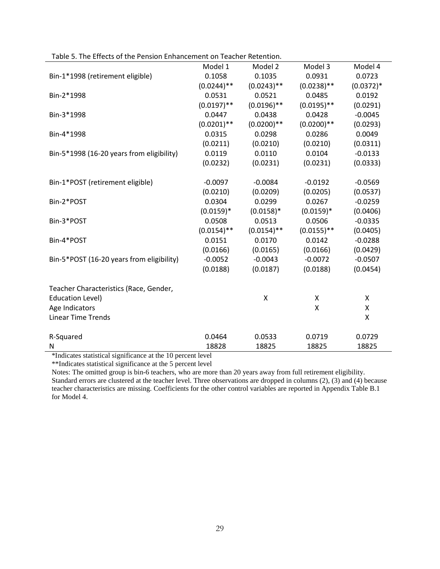|                                           | Model 1       | Model 2       | Model 3       | Model 4     |
|-------------------------------------------|---------------|---------------|---------------|-------------|
| Bin-1*1998 (retirement eligible)          | 0.1058        | 0.1035        | 0.0931        | 0.0723      |
|                                           | $(0.0244)$ ** | $(0.0243)$ ** | $(0.0238)$ ** | $(0.0372)*$ |
| Bin-2*1998                                | 0.0531        | 0.0521        | 0.0485        | 0.0192      |
|                                           | $(0.0197)$ ** | $(0.0196)$ ** | $(0.0195)$ ** | (0.0291)    |
| Bin-3*1998                                | 0.0447        | 0.0438        | 0.0428        | $-0.0045$   |
|                                           | $(0.0201)$ ** | $(0.0200)**$  | $(0.0200)$ ** | (0.0293)    |
| Bin-4*1998                                | 0.0315        | 0.0298        | 0.0286        | 0.0049      |
|                                           | (0.0211)      | (0.0210)      | (0.0210)      | (0.0311)    |
| Bin-5*1998 (16-20 years from eligibility) | 0.0119        | 0.0110        | 0.0104        | $-0.0133$   |
|                                           | (0.0232)      | (0.0231)      | (0.0231)      | (0.0333)    |
| Bin-1*POST (retirement eligible)          | $-0.0097$     | $-0.0084$     | $-0.0192$     | $-0.0569$   |
|                                           | (0.0210)      | (0.0209)      | (0.0205)      | (0.0537)    |
| Bin-2*POST                                | 0.0304        | 0.0299        | 0.0267        | $-0.0259$   |
|                                           | $(0.0159)*$   | $(0.0158)*$   | $(0.0159)*$   | (0.0406)    |
| Bin-3*POST                                | 0.0508        | 0.0513        | 0.0506        | $-0.0335$   |
|                                           | $(0.0154)$ ** | $(0.0154)$ ** | $(0.0155)$ ** | (0.0405)    |
| Bin-4*POST                                | 0.0151        | 0.0170        | 0.0142        | $-0.0288$   |
|                                           | (0.0166)      | (0.0165)      | (0.0166)      | (0.0429)    |
| Bin-5*POST (16-20 years from eligibility) | $-0.0052$     | $-0.0043$     | $-0.0072$     | $-0.0507$   |
|                                           | (0.0188)      | (0.0187)      | (0.0188)      | (0.0454)    |
| Teacher Characteristics (Race, Gender,    |               |               |               |             |
| <b>Education Level)</b>                   |               | X             | X             | X           |
| Age Indicators                            |               |               | Χ             | X           |
| <b>Linear Time Trends</b>                 |               |               |               | Χ           |
| R-Squared                                 | 0.0464        | 0.0533        | 0.0719        | 0.0729      |
| N                                         | 18828         | 18825         | 18825         | 18825       |

Table 5. The Effects of the Pension Enhancement on Teacher Retention.

\*Indicates statistical significance at the 10 percent level

\*\*Indicates statistical significance at the 5 percent level

Notes: The omitted group is bin-6 teachers, who are more than 20 years away from full retirement eligibility. Standard errors are clustered at the teacher level. Three observations are dropped in columns (2), (3) and (4) because teacher characteristics are missing. Coefficients for the other control variables are reported in Appendix Table B.1 for Model 4.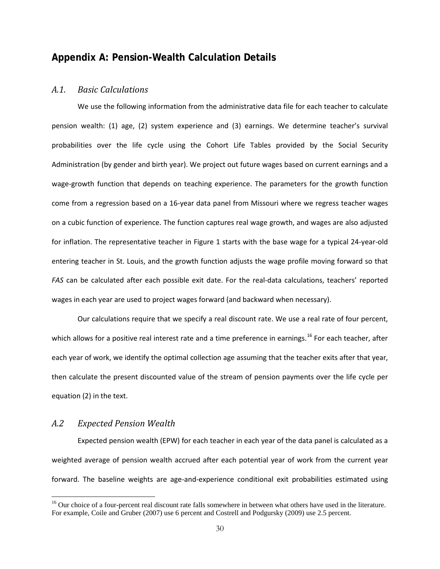### <span id="page-34-0"></span>**Appendix A: Pension-Wealth Calculation Details**

#### <span id="page-34-1"></span>*A.1. Basic Calculations*

We use the following information from the administrative data file for each teacher to calculate pension wealth: (1) age, (2) system experience and (3) earnings. We determine teacher's survival probabilities over the life cycle using the Cohort Life Tables provided by the Social Security Administration (by gender and birth year). We project out future wages based on current earnings and a wage-growth function that depends on teaching experience. The parameters for the growth function come from a regression based on a 16-year data panel from Missouri where we regress teacher wages on a cubic function of experience. The function captures real wage growth, and wages are also adjusted for inflation. The representative teacher in Figure 1 starts with the base wage for a typical 24-year-old entering teacher in St. Louis, and the growth function adjusts the wage profile moving forward so that *FAS* can be calculated after each possible exit date. For the real-data calculations, teachers' reported wages in each year are used to project wages forward (and backward when necessary).

Our calculations require that we specify a real discount rate. We use a real rate of four percent, which allows for a positive real interest rate and a time preference in earnings.<sup>[16](#page-34-3)</sup> For each teacher, after each year of work, we identify the optimal collection age assuming that the teacher exits after that year, then calculate the present discounted value of the stream of pension payments over the life cycle per equation (2) in the text.

### <span id="page-34-2"></span>*A.2 Expected Pension Wealth*

l

Expected pension wealth (EPW) for each teacher in each year of the data panel is calculated as a weighted average of pension wealth accrued after each potential year of work from the current year forward. The baseline weights are age-and-experience conditional exit probabilities estimated using

<span id="page-34-3"></span> $16$  Our choice of a four-percent real discount rate falls somewhere in between what others have used in the literature. For example, Coile and Gruber (2007) use 6 percent and Costrell and Podgursky (2009) use 2.5 percent.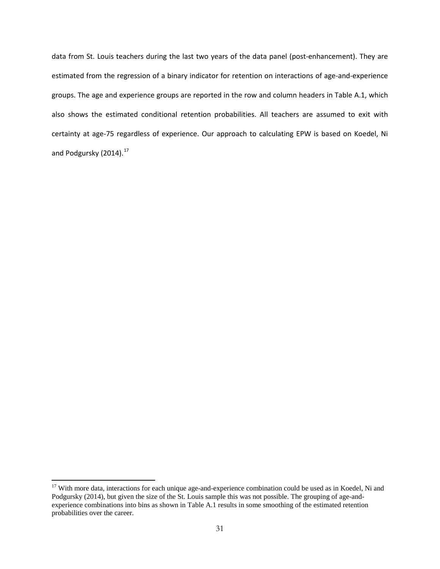data from St. Louis teachers during the last two years of the data panel (post-enhancement). They are estimated from the regression of a binary indicator for retention on interactions of age-and-experience groups. The age and experience groups are reported in the row and column headers in Table A.1, which also shows the estimated conditional retention probabilities. All teachers are assumed to exit with certainty at age-75 regardless of experience. Our approach to calculating EPW is based on Koedel, Ni and Podgursky  $(2014).^{17}$  $(2014).^{17}$  $(2014).^{17}$ 

l

<span id="page-35-0"></span><sup>&</sup>lt;sup>17</sup> With more data, interactions for each unique age-and-experience combination could be used as in Koedel, Ni and Podgursky (2014), but given the size of the St. Louis sample this was not possible. The grouping of age-andexperience combinations into bins as shown in Table A.1 results in some smoothing of the estimated retention probabilities over the career.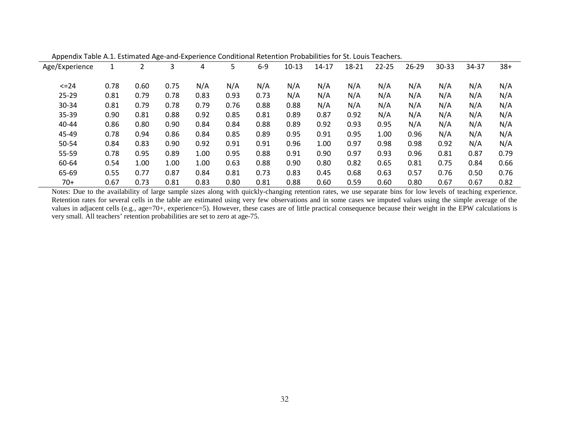| ∽פי<br>.<br>$-1.0$ |      |      |      |      |      |       |         |           |       |           |           |           |       |       |
|--------------------|------|------|------|------|------|-------|---------|-----------|-------|-----------|-----------|-----------|-------|-------|
| Age/Experience     |      |      | 3    | 4    | 5    | $6-9$ | $10-13$ | $14 - 17$ | 18-21 | $22 - 25$ | $26 - 29$ | $30 - 33$ | 34-37 | $38+$ |
| $\leq$ 24          | 0.78 | 0.60 | 0.75 | N/A  | N/A  | N/A   | N/A     | N/A       | N/A   | N/A       | N/A       | N/A       | N/A   | N/A   |
| $25 - 29$          | 0.81 | 0.79 | 0.78 | 0.83 | 0.93 | 0.73  | N/A     | N/A       | N/A   | N/A       | N/A       | N/A       | N/A   | N/A   |
| 30-34              | 0.81 | 0.79 | 0.78 | 0.79 | 0.76 | 0.88  | 0.88    | N/A       | N/A   | N/A       | N/A       | N/A       | N/A   | N/A   |
| $35 - 39$          | 0.90 | 0.81 | 0.88 | 0.92 | 0.85 | 0.81  | 0.89    | 0.87      | 0.92  | N/A       | N/A       | N/A       | N/A   | N/A   |
| $40 - 44$          | 0.86 | 0.80 | 0.90 | 0.84 | 0.84 | 0.88  | 0.89    | 0.92      | 0.93  | 0.95      | N/A       | N/A       | N/A   | N/A   |
| 45-49              | 0.78 | 0.94 | 0.86 | 0.84 | 0.85 | 0.89  | 0.95    | 0.91      | 0.95  | 1.00      | 0.96      | N/A       | N/A   | N/A   |
| 50-54              | 0.84 | 0.83 | 0.90 | 0.92 | 0.91 | 0.91  | 0.96    | 1.00      | 0.97  | 0.98      | 0.98      | 0.92      | N/A   | N/A   |
| 55-59              | 0.78 | 0.95 | 0.89 | 1.00 | 0.95 | 0.88  | 0.91    | 0.90      | 0.97  | 0.93      | 0.96      | 0.81      | 0.87  | 0.79  |
| 60-64              | 0.54 | 1.00 | 1.00 | 1.00 | 0.63 | 0.88  | 0.90    | 0.80      | 0.82  | 0.65      | 0.81      | 0.75      | 0.84  | 0.66  |
| 65-69              | 0.55 | 0.77 | 0.87 | 0.84 | 0.81 | 0.73  | 0.83    | 0.45      | 0.68  | 0.63      | 0.57      | 0.76      | 0.50  | 0.76  |
| $70+$              | 0.67 | 0.73 | 0.81 | 0.83 | 0.80 | 0.81  | 0.88    | 0.60      | 0.59  | 0.60      | 0.80      | 0.67      | 0.67  | 0.82  |

Appendix Table A.1. Estimated Age-and-Experience Conditional Retention Probabilities for St. Louis Teachers.

Notes: Due to the availability of large sample sizes along with quickly-changing retention rates, we use separate bins for low levels of teaching experience. Retention rates for several cells in the table are estimated using very few observations and in some cases we imputed values using the simple average of the values in adjacent cells (e.g., age=70+, experience=5). However, these cases are of little practical consequence because their weight in the EPW calculations is very small. All teachers' retention probabilities are set to zero at age-75.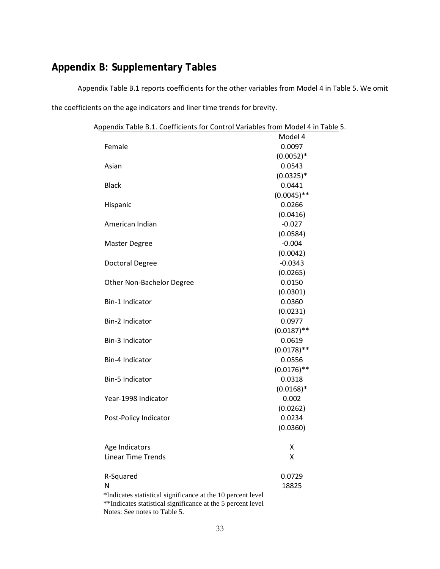# <span id="page-37-0"></span>**Appendix B: Supplementary Tables**

Appendix Table B.1 reports coefficients for the other variables from Model 4 in Table 5. We omit the coefficients on the age indicators and liner time trends for brevity.

Appendix Table B.1. Coefficients for Control Variables from Model 4 in Table 5.

|                                                           | Model 4       |
|-----------------------------------------------------------|---------------|
| Female                                                    | 0.0097        |
|                                                           | $(0.0052)*$   |
| Asian                                                     | 0.0543        |
|                                                           | $(0.0325)*$   |
| <b>Black</b>                                              | 0.0441        |
|                                                           | $(0.0045)$ ** |
| Hispanic                                                  | 0.0266        |
|                                                           | (0.0416)      |
| American Indian                                           | $-0.027$      |
|                                                           | (0.0584)      |
| <b>Master Degree</b>                                      | $-0.004$      |
|                                                           | (0.0042)      |
| Doctoral Degree                                           | $-0.0343$     |
|                                                           | (0.0265)      |
| Other Non-Bachelor Degree                                 | 0.0150        |
|                                                           | (0.0301)      |
| Bin-1 Indicator                                           | 0.0360        |
|                                                           | (0.0231)      |
| Bin-2 Indicator                                           | 0.0977        |
|                                                           | $(0.0187)$ ** |
| Bin-3 Indicator                                           | 0.0619        |
|                                                           | $(0.0178)$ ** |
| Bin-4 Indicator                                           | 0.0556        |
|                                                           | $(0.0176)$ ** |
| <b>Bin-5 Indicator</b>                                    | 0.0318        |
|                                                           | $(0.0168)*$   |
| Year-1998 Indicator                                       | 0.002         |
|                                                           | (0.0262)      |
| Post-Policy Indicator                                     | 0.0234        |
|                                                           | (0.0360)      |
| Age Indicators                                            | Χ             |
| <b>Linear Time Trends</b>                                 | Χ             |
|                                                           |               |
| R-Squared                                                 | 0.0729        |
| N                                                         | 18825         |
| *Indicates statistical continuous at the 10 percent lavel |               |

\*Indicates statistical significance at the 10 percent level \*\*Indicates statistical significance at the 5 percent level Notes: See notes to Table 5.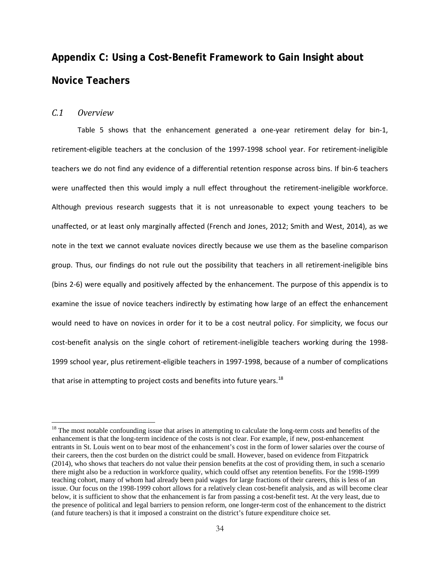# <span id="page-38-0"></span>**Appendix C: Using a Cost-Benefit Framework to Gain Insight about Novice Teachers**

### <span id="page-38-1"></span>*C.1 Overview*

 $\overline{\phantom{a}}$ 

Table 5 shows that the enhancement generated a one-year retirement delay for bin-1, retirement-eligible teachers at the conclusion of the 1997-1998 school year. For retirement-ineligible teachers we do not find any evidence of a differential retention response across bins. If bin-6 teachers were unaffected then this would imply a null effect throughout the retirement-ineligible workforce. Although previous research suggests that it is not unreasonable to expect young teachers to be unaffected, or at least only marginally affected (French and Jones, 2012; Smith and West, 2014), as we note in the text we cannot evaluate novices directly because we use them as the baseline comparison group. Thus, our findings do not rule out the possibility that teachers in all retirement-ineligible bins (bins 2-6) were equally and positively affected by the enhancement. The purpose of this appendix is to examine the issue of novice teachers indirectly by estimating how large of an effect the enhancement would need to have on novices in order for it to be a cost neutral policy. For simplicity, we focus our cost-benefit analysis on the single cohort of retirement-ineligible teachers working during the 1998- 1999 school year, plus retirement-eligible teachers in 1997-1998, because of a number of complications that arise in attempting to project costs and benefits into future years.<sup>[18](#page-38-2)</sup>

<span id="page-38-2"></span> $18$  The most notable confounding issue that arises in attempting to calculate the long-term costs and benefits of the enhancement is that the long-term incidence of the costs is not clear. For example, if new, post-enhancement entrants in St. Louis went on to bear most of the enhancement's cost in the form of lower salaries over the course of their careers, then the cost burden on the district could be small. However, based on evidence from Fitzpatrick (2014), who shows that teachers do not value their pension benefits at the cost of providing them, in such a scenario there might also be a reduction in workforce quality, which could offset any retention benefits. For the 1998-1999 teaching cohort, many of whom had already been paid wages for large fractions of their careers, this is less of an issue. Our focus on the 1998-1999 cohort allows for a relatively clean cost-benefit analysis, and as will become clear below, it is sufficient to show that the enhancement is far from passing a cost-benefit test. At the very least, due to the presence of political and legal barriers to pension reform, one longer-term cost of the enhancement to the district (and future teachers) is that it imposed a constraint on the district's future expenditure choice set.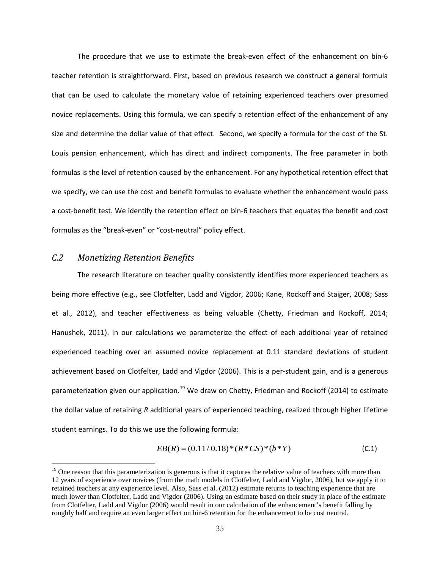The procedure that we use to estimate the break-even effect of the enhancement on bin-6 teacher retention is straightforward. First, based on previous research we construct a general formula that can be used to calculate the monetary value of retaining experienced teachers over presumed novice replacements. Using this formula, we can specify a retention effect of the enhancement of any size and determine the dollar value of that effect. Second, we specify a formula for the cost of the St. Louis pension enhancement, which has direct and indirect components. The free parameter in both formulas is the level of retention caused by the enhancement. For any hypothetical retention effect that we specify, we can use the cost and benefit formulas to evaluate whether the enhancement would pass a cost-benefit test. We identify the retention effect on bin-6 teachers that equates the benefit and cost formulas as the "break-even" or "cost-neutral" policy effect.

### <span id="page-39-0"></span>*C.2 Monetizing Retention Benefits*

 $\overline{\phantom{a}}$ 

The research literature on teacher quality consistently identifies more experienced teachers as being more effective (e.g., see Clotfelter, Ladd and Vigdor, 2006; Kane, Rockoff and Staiger, 2008; Sass et al., 2012), and teacher effectiveness as being valuable (Chetty, Friedman and Rockoff, 2014; Hanushek, 2011). In our calculations we parameterize the effect of each additional year of retained experienced teaching over an assumed novice replacement at 0.11 standard deviations of student achievement based on Clotfelter, Ladd and Vigdor (2006). This is a per-student gain, and is a generous parameterization given our application.<sup>[19](#page-39-1)</sup> We draw on Chetty, Friedman and Rockoff (2014) to estimate the dollar value of retaining *R* additional years of experienced teaching, realized through higher lifetime student earnings. To do this we use the following formula:

$$
EB(R) = (0.11/0.18) * (R * CS) * (b * Y)
$$
\n(C.1)

<span id="page-39-1"></span> $19$  One reason that this parameterization is generous is that it captures the relative value of teachers with more than 12 years of experience over novices (from the math models in Clotfelter, Ladd and Vigdor, 2006), but we apply it to retained teachers at any experience level. Also, Sass et al. (2012) estimate returns to teaching experience that are much lower than Clotfelter, Ladd and Vigdor (2006). Using an estimate based on their study in place of the estimate from Clotfelter, Ladd and Vigdor (2006) would result in our calculation of the enhancement's benefit falling by roughly half and require an even larger effect on bin-6 retention for the enhancement to be cost neutral.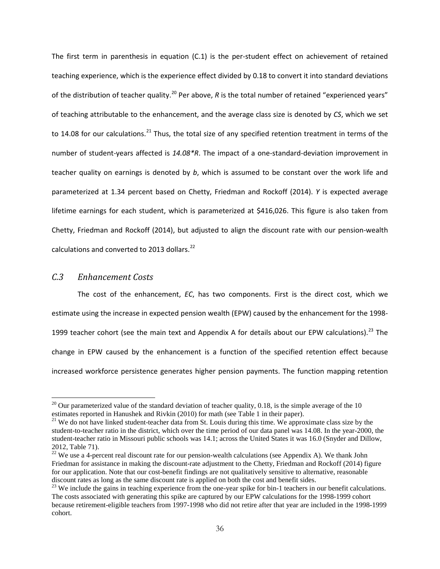The first term in parenthesis in equation (C.1) is the per-student effect on achievement of retained teaching experience, which is the experience effect divided by 0.18 to convert it into standard deviations of the distribution of teacher quality.<sup>[20](#page-40-1)</sup> Per above,  $R$  is the total number of retained "experienced years" of teaching attributable to the enhancement, and the average class size is denoted by *CS*, which we set to 14.08 for our calculations.<sup>[21](#page-40-2)</sup> Thus, the total size of any specified retention treatment in terms of the number of student-years affected is *14.08\*R*. The impact of a one-standard-deviation improvement in teacher quality on earnings is denoted by *b*, which is assumed to be constant over the work life and parameterized at 1.34 percent based on Chetty, Friedman and Rockoff (2014). *Y* is expected average lifetime earnings for each student, which is parameterized at \$416,026. This figure is also taken from Chetty, Friedman and Rockoff (2014), but adjusted to align the discount rate with our pension-wealth calculations and converted to 2013 dollars.<sup>[22](#page-40-3)</sup>

### <span id="page-40-0"></span>*C.3 Enhancement Costs*

 $\overline{\phantom{a}}$ 

The cost of the enhancement, *EC*, has two components. First is the direct cost, which we estimate using the increase in expected pension wealth (EPW) caused by the enhancement for the 1998- 1999 teacher cohort (see the main text and Appendix A for details about our EPW calculations).<sup>[23](#page-40-4)</sup> The change in EPW caused by the enhancement is a function of the specified retention effect because increased workforce persistence generates higher pension payments. The function mapping retention

<span id="page-40-1"></span><sup>&</sup>lt;sup>20</sup> Our parameterized value of the standard deviation of teacher quality, 0.18, is the simple average of the 10 estimates reported in Hanushek and Rivkin (2010) for math (see Table 1 in their paper).

<span id="page-40-2"></span> $21$  We do not have linked student-teacher data from St. Louis during this time. We approximate class size by the student-to-teacher ratio in the district, which over the time period of our data panel was 14.08. In the year-2000, the student-teacher ratio in Missouri public schools was 14.1; across the United States it was 16.0 (Snyder and Dillow, 2012, Table 71).<br><sup>22</sup> We use a 4-percent real discount rate for our pension-wealth calculations (see Appendix A). We thank John

<span id="page-40-3"></span>Friedman for assistance in making the discount-rate adjustment to the Chetty, Friedman and Rockoff (2014) figure for our application. Note that our cost-benefit findings are not qualitatively sensitive to alternative, reasonable discount rates as long as the same discount rate is applied on both the cost and benefit sides.

<span id="page-40-4"></span><sup>&</sup>lt;sup>23</sup> We include the gains in teaching experience from the one-year spike for bin-1 teachers in our benefit calculations. The costs associated with generating this spike are captured by our EPW calculations for the 1998-1999 cohort because retirement-eligible teachers from 1997-1998 who did not retire after that year are included in the 1998-1999 cohort.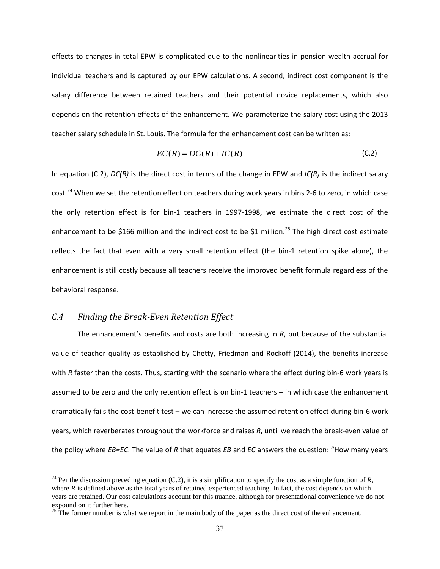effects to changes in total EPW is complicated due to the nonlinearities in pension-wealth accrual for individual teachers and is captured by our EPW calculations. A second, indirect cost component is the salary difference between retained teachers and their potential novice replacements, which also depends on the retention effects of the enhancement. We parameterize the salary cost using the 2013 teacher salary schedule in St. Louis. The formula for the enhancement cost can be written as:

$$
EC(R) = DC(R) + IC(R)
$$
\n(C.2)

In equation (C.2), *DC(R)* is the direct cost in terms of the change in EPW and *IC(R)* is the indirect salary cost.<sup>[24](#page-41-1)</sup> When we set the retention effect on teachers during work years in bins 2-6 to zero, in which case the only retention effect is for bin-1 teachers in 1997-1998, we estimate the direct cost of the enhancement to be \$166 million and the indirect cost to be \$1 million.<sup>[25](#page-41-2)</sup> The high direct cost estimate reflects the fact that even with a very small retention effect (the bin-1 retention spike alone), the enhancement is still costly because all teachers receive the improved benefit formula regardless of the behavioral response.

### <span id="page-41-0"></span>*C.4 Finding the Break-Even Retention Effect*

 $\overline{\phantom{a}}$ 

The enhancement's benefits and costs are both increasing in *R*, but because of the substantial value of teacher quality as established by Chetty, Friedman and Rockoff (2014), the benefits increase with *R* faster than the costs. Thus, starting with the scenario where the effect during bin-6 work years is assumed to be zero and the only retention effect is on bin-1 teachers – in which case the enhancement dramatically fails the cost-benefit test – we can increase the assumed retention effect during bin-6 work years, which reverberates throughout the workforce and raises *R*, until we reach the break-even value of the policy where *EB=EC*. The value of *R* that equates *EB* and *EC* answers the question: "How many years

<span id="page-41-1"></span><sup>&</sup>lt;sup>24</sup> Per the discussion preceding equation (C.2), it is a simplification to specify the cost as a simple function of  $R$ , where *R* is defined above as the total years of retained experienced teaching. In fact, the cost depends on which years are retained. Our cost calculations account for this nuance, although for presentational convenience we do not expound on it further here.

<span id="page-41-2"></span> $25$  The former number is what we report in the main body of the paper as the direct cost of the enhancement.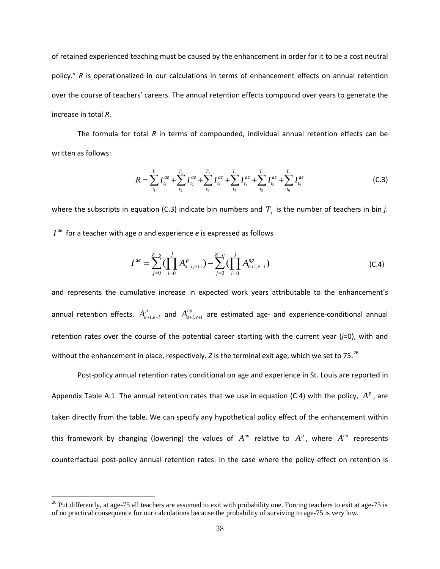of retained experienced teaching must be caused by the enhancement in order for it to be a cost neutral policy." *R* is operationalized in our calculations in terms of enhancement effects on annual retention over the course of teachers' careers. The annual retention effects compound over years to generate the increase in total *R*.

The formula for total *R* in terms of compounded, individual annual retention effects can be written as follows:

$$
R = \sum_{t_1}^{T_1} I_{t_1}^{ae} + \sum_{t_2}^{T_2} I_{t_2}^{ae} + \sum_{t_3}^{T_3} I_{t_3}^{ae} + \sum_{t_4}^{T_4} I_{t_4}^{ae} + \sum_{t_5}^{T_5} I_{t_5}^{ae} + \sum_{t_6}^{T_6} I_{t_6}^{ae}
$$
(C.3)

where the subscripts in equation (C.3) indicate bin numbers and  $T<sub>j</sub>$  is the number of teachers in bin *j*.  $I^{ae}$  for a teacher with age  $a$  and experience  $e$  is expressed as follows

$$
I^{ae} = \sum_{j=0}^{Z-a} \left( \prod_{i=0}^{j} A_{a+i, e+i}^{p} \right) - \sum_{j=0}^{Z-a} \left( \prod_{i=0}^{j} A_{a+i, e+i}^{np} \right)
$$
(C.4)

and represents the cumulative increase in expected work years attributable to the enhancement's annual retention effects.  $A_{a+i,e+i}^p$  and  $A_{a+i,e+i}^{np}$  are estimated age- and experience-conditional annual retention rates over the course of the potential career starting with the current year (*j*=0), with and without the enhancement in place, respectively. *Z* is the terminal exit age, which we set to 75.<sup>[26](#page-42-0)</sup>

Post-policy annual retention rates conditional on age and experience in St. Louis are reported in Appendix Table A.1. The annual retention rates that we use in equation (C.4) with the policy,  $A^p$ , are taken directly from the table. We can specify any hypothetical policy effect of the enhancement within this framework by changing (lowering) the values of  $A^{np}$  relative to  $A^p$ , where  $A^{np}$  represents counterfactual post-policy annual retention rates. In the case where the policy effect on retention is

l

<span id="page-42-0"></span> $26$  Put differently, at age-75 all teachers are assumed to exit with probability one. Forcing teachers to exit at age-75 is of no practical consequence for our calculations because the probability of surviving to age-75 is very low.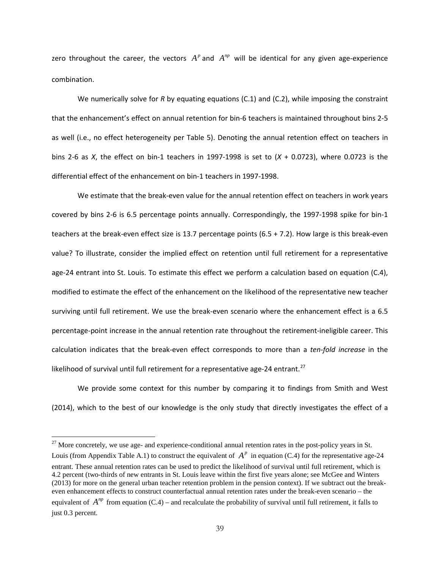zero throughout the career, the vectors  $A^p$  and  $A^{np}$  will be identical for any given age-experience combination.

We numerically solve for *R* by equating equations (C.1) and (C.2), while imposing the constraint that the enhancement's effect on annual retention for bin-6 teachers is maintained throughout bins 2-5 as well (i.e., no effect heterogeneity per Table 5). Denoting the annual retention effect on teachers in bins 2-6 as *X*, the effect on bin-1 teachers in 1997-1998 is set to (*X* + 0.0723), where 0.0723 is the differential effect of the enhancement on bin-1 teachers in 1997-1998.

We estimate that the break-even value for the annual retention effect on teachers in work years covered by bins 2-6 is 6.5 percentage points annually. Correspondingly, the 1997-1998 spike for bin-1 teachers at the break-even effect size is 13.7 percentage points (6.5 + 7.2). How large is this break-even value? To illustrate, consider the implied effect on retention until full retirement for a representative age-24 entrant into St. Louis. To estimate this effect we perform a calculation based on equation (C.4), modified to estimate the effect of the enhancement on the likelihood of the representative new teacher surviving until full retirement. We use the break-even scenario where the enhancement effect is a 6.5 percentage-point increase in the annual retention rate throughout the retirement-ineligible career. This calculation indicates that the break-even effect corresponds to more than a *ten-fold increase* in the likelihood of survival until full retirement for a representative age-24 entrant.<sup>[27](#page-43-0)</sup>

We provide some context for this number by comparing it to findings from Smith and West (2014), which to the best of our knowledge is the only study that directly investigates the effect of a

 $\overline{\phantom{a}}$ 

<span id="page-43-0"></span> $27$  More concretely, we use age- and experience-conditional annual retention rates in the post-policy years in St. Louis (from Appendix Table A.1) to construct the equivalent of  $A^p$  in equation (C.4) for the representative age-24 entrant. These annual retention rates can be used to predict the likelihood of survival until full retirement, which is 4.2 percent (two-thirds of new entrants in St. Louis leave within the first five years alone; see McGee and Winters (2013) for more on the general urban teacher retention problem in the pension context). If we subtract out the breakeven enhancement effects to construct counterfactual annual retention rates under the break-even scenario – the equivalent of  $A^{np}$  from equation (C.4) – and recalculate the probability of survival until full retirement, it falls to just 0.3 percent.